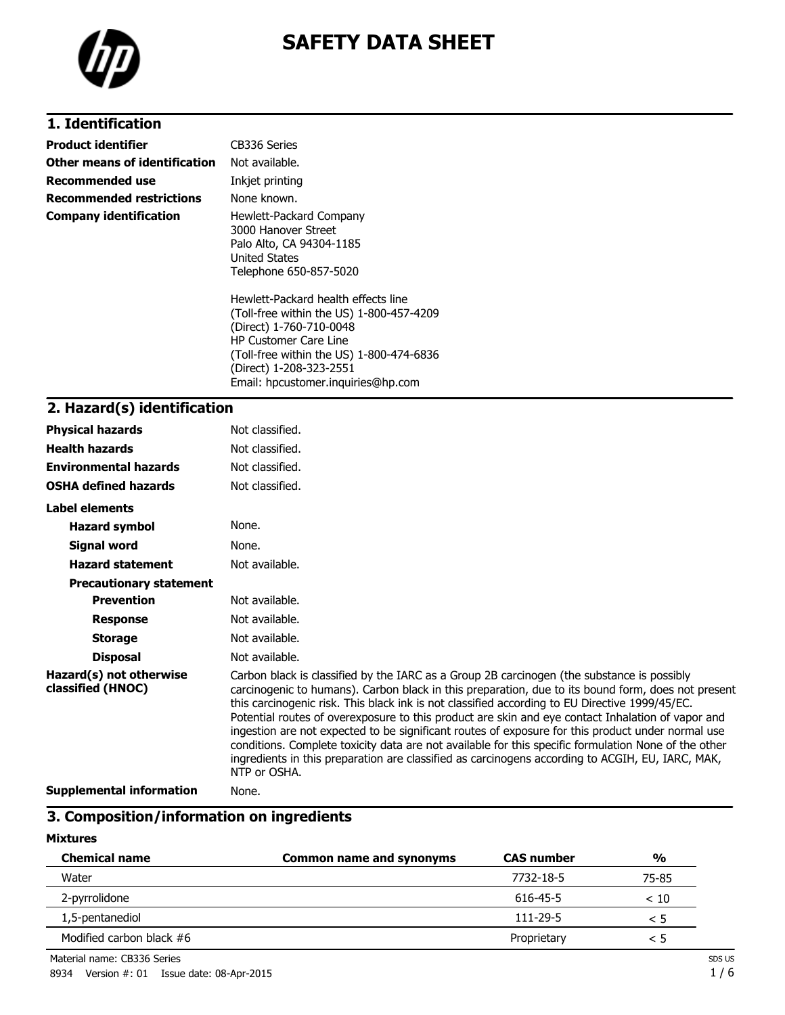

# **SAFETY DATA SHEET**

## **1. Identification**

| Product identifier            | CB336 Series                                                                                                                                                                                                      |
|-------------------------------|-------------------------------------------------------------------------------------------------------------------------------------------------------------------------------------------------------------------|
| Other means of identification | Not available.                                                                                                                                                                                                    |
| Recommended use               | Inkjet printing                                                                                                                                                                                                   |
| Recommended restrictions      | None known.                                                                                                                                                                                                       |
| Company identification        | Hewlett-Packard Company<br>3000 Hanover Street<br>Palo Alto, CA 94304-1185<br><b>United States</b><br>Telephone 650-857-5020                                                                                      |
|                               | Hewlett-Packard health effects line<br>(Toll-free within the US) 1-800-457-4209<br>(Direct) 1-760-710-0048<br><b>HP Customer Care Line</b><br>(Toll-free within the US) 1-800-474-6836<br>(Direct) 1-208-323-2551 |

Email: hpcustomer.inquiries@hp.com

#### **2. Hazard(s) identification**

| <b>Physical hazards</b>                      | Not classified.                                                                                                                                                                                                                                                                                                                                                                                                                                                                                                                                                                                                                                                                                                                          |
|----------------------------------------------|------------------------------------------------------------------------------------------------------------------------------------------------------------------------------------------------------------------------------------------------------------------------------------------------------------------------------------------------------------------------------------------------------------------------------------------------------------------------------------------------------------------------------------------------------------------------------------------------------------------------------------------------------------------------------------------------------------------------------------------|
| <b>Health hazards</b>                        | Not classified.                                                                                                                                                                                                                                                                                                                                                                                                                                                                                                                                                                                                                                                                                                                          |
| <b>Environmental hazards</b>                 | Not classified.                                                                                                                                                                                                                                                                                                                                                                                                                                                                                                                                                                                                                                                                                                                          |
| <b>OSHA defined hazards</b>                  | Not classified.                                                                                                                                                                                                                                                                                                                                                                                                                                                                                                                                                                                                                                                                                                                          |
| Label elements                               |                                                                                                                                                                                                                                                                                                                                                                                                                                                                                                                                                                                                                                                                                                                                          |
| <b>Hazard symbol</b>                         | None.                                                                                                                                                                                                                                                                                                                                                                                                                                                                                                                                                                                                                                                                                                                                    |
| Signal word                                  | None.                                                                                                                                                                                                                                                                                                                                                                                                                                                                                                                                                                                                                                                                                                                                    |
| <b>Hazard statement</b>                      | Not available.                                                                                                                                                                                                                                                                                                                                                                                                                                                                                                                                                                                                                                                                                                                           |
| <b>Precautionary statement</b>               |                                                                                                                                                                                                                                                                                                                                                                                                                                                                                                                                                                                                                                                                                                                                          |
| <b>Prevention</b>                            | Not available.                                                                                                                                                                                                                                                                                                                                                                                                                                                                                                                                                                                                                                                                                                                           |
| <b>Response</b>                              | Not available.                                                                                                                                                                                                                                                                                                                                                                                                                                                                                                                                                                                                                                                                                                                           |
| <b>Storage</b>                               | Not available.                                                                                                                                                                                                                                                                                                                                                                                                                                                                                                                                                                                                                                                                                                                           |
| <b>Disposal</b>                              | Not available.                                                                                                                                                                                                                                                                                                                                                                                                                                                                                                                                                                                                                                                                                                                           |
| Hazard(s) not otherwise<br>classified (HNOC) | Carbon black is classified by the IARC as a Group 2B carcinogen (the substance is possibly<br>carcinogenic to humans). Carbon black in this preparation, due to its bound form, does not present<br>this carcinogenic risk. This black ink is not classified according to EU Directive 1999/45/EC.<br>Potential routes of overexposure to this product are skin and eye contact Inhalation of vapor and<br>ingestion are not expected to be significant routes of exposure for this product under normal use<br>conditions. Complete toxicity data are not available for this specific formulation None of the other<br>ingredients in this preparation are classified as carcinogens according to ACGIH, EU, IARC, MAK,<br>NTP or OSHA. |
| Cunnlamantal information                     | <b>Nono</b>                                                                                                                                                                                                                                                                                                                                                                                                                                                                                                                                                                                                                                                                                                                              |

**Supplemental information** None.

#### **3. Composition/information on ingredients**

#### **Mixtures**

| <b>Chemical name</b>       | <b>Common name and synonyms</b> | <b>CAS number</b> | $\frac{0}{0}$ |
|----------------------------|---------------------------------|-------------------|---------------|
| Water                      |                                 | 7732-18-5         | 75-85         |
| 2-pyrrolidone              |                                 | 616-45-5          | < 10          |
| 1,5-pentanediol            |                                 | $111 - 29 - 5$    | < 5           |
| Modified carbon black $#6$ |                                 | Proprietary       | < 5           |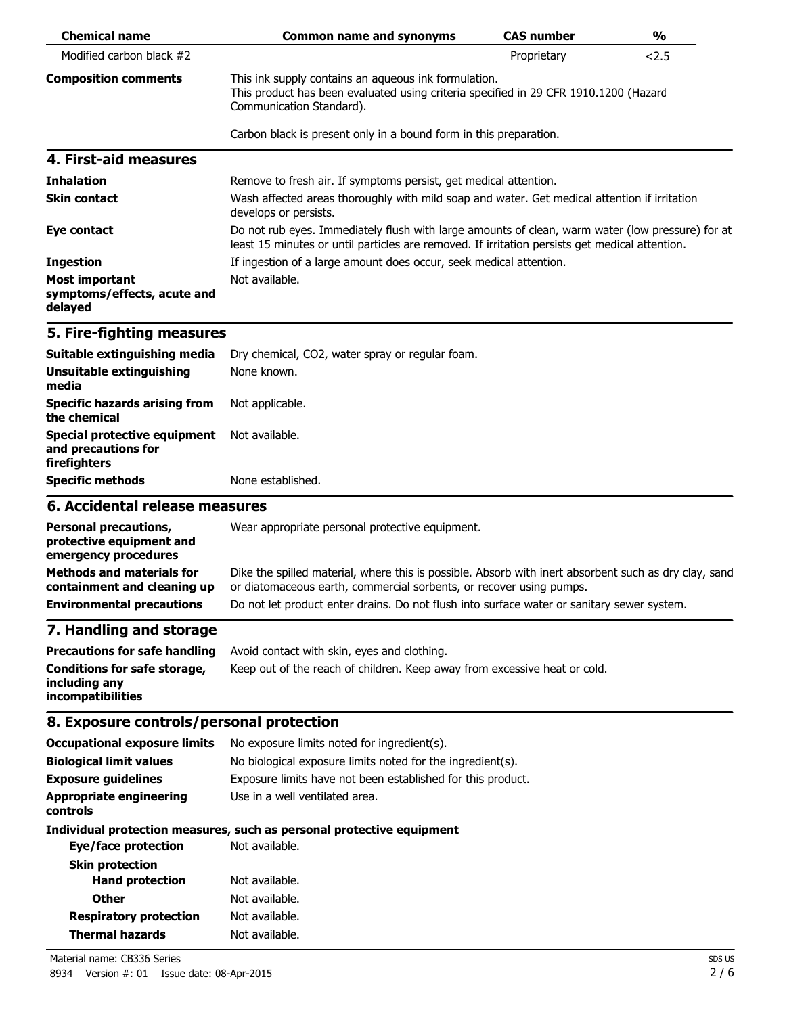| <b>Chemical name</b>                                                                                | <b>Common name and synonyms</b>                                                                                                                                                                                                                                            | <b>CAS number</b> | $\frac{0}{0}$ |
|-----------------------------------------------------------------------------------------------------|----------------------------------------------------------------------------------------------------------------------------------------------------------------------------------------------------------------------------------------------------------------------------|-------------------|---------------|
| Modified carbon black #2                                                                            |                                                                                                                                                                                                                                                                            | Proprietary       | 2.5           |
| <b>Composition comments</b>                                                                         | This ink supply contains an aqueous ink formulation.<br>This product has been evaluated using criteria specified in 29 CFR 1910.1200 (Hazard<br>Communication Standard).                                                                                                   |                   |               |
|                                                                                                     | Carbon black is present only in a bound form in this preparation.                                                                                                                                                                                                          |                   |               |
| 4. First-aid measures                                                                               |                                                                                                                                                                                                                                                                            |                   |               |
| <b>Inhalation</b>                                                                                   | Remove to fresh air. If symptoms persist, get medical attention.                                                                                                                                                                                                           |                   |               |
| <b>Skin contact</b>                                                                                 | Wash affected areas thoroughly with mild soap and water. Get medical attention if irritation<br>develops or persists.                                                                                                                                                      |                   |               |
| Eye contact                                                                                         | Do not rub eyes. Immediately flush with large amounts of clean, warm water (low pressure) for at<br>least 15 minutes or until particles are removed. If irritation persists get medical attention.                                                                         |                   |               |
| <b>Ingestion</b>                                                                                    | If ingestion of a large amount does occur, seek medical attention.                                                                                                                                                                                                         |                   |               |
| Most important<br>symptoms/effects, acute and<br>delayed                                            | Not available.                                                                                                                                                                                                                                                             |                   |               |
| 5. Fire-fighting measures                                                                           |                                                                                                                                                                                                                                                                            |                   |               |
| Suitable extinguishing media                                                                        | Dry chemical, CO2, water spray or regular foam.                                                                                                                                                                                                                            |                   |               |
| Unsuitable extinguishing<br>media                                                                   | None known.                                                                                                                                                                                                                                                                |                   |               |
| <b>Specific hazards arising from</b><br>the chemical                                                | Not applicable.                                                                                                                                                                                                                                                            |                   |               |
| <b>Special protective equipment</b><br>and precautions for<br>firefighters                          | Not available.                                                                                                                                                                                                                                                             |                   |               |
| <b>Specific methods</b>                                                                             | None established.                                                                                                                                                                                                                                                          |                   |               |
| 6. Accidental release measures                                                                      |                                                                                                                                                                                                                                                                            |                   |               |
| <b>Personal precautions,</b><br>protective equipment and<br>emergency procedures                    | Wear appropriate personal protective equipment.                                                                                                                                                                                                                            |                   |               |
| <b>Methods and materials for</b><br>containment and cleaning up<br><b>Environmental precautions</b> | Dike the spilled material, where this is possible. Absorb with inert absorbent such as dry clay, sand<br>or diatomaceous earth, commercial sorbents, or recover using pumps.<br>Do not let product enter drains. Do not flush into surface water or sanitary sewer system. |                   |               |
| 7. Handling and storage                                                                             |                                                                                                                                                                                                                                                                            |                   |               |
| <b>Precautions for safe handling</b>                                                                | Avoid contact with skin, eyes and clothing.                                                                                                                                                                                                                                |                   |               |
| <b>Conditions for safe storage,</b><br>including any<br>incompatibilities                           | Keep out of the reach of children. Keep away from excessive heat or cold.                                                                                                                                                                                                  |                   |               |
| 8. Exposure controls/personal protection                                                            |                                                                                                                                                                                                                                                                            |                   |               |
| <b>Occupational exposure limits</b>                                                                 | No exposure limits noted for ingredient(s).                                                                                                                                                                                                                                |                   |               |
| <b>Biological limit values</b>                                                                      | No biological exposure limits noted for the ingredient(s).                                                                                                                                                                                                                 |                   |               |
| <b>Exposure guidelines</b>                                                                          | Exposure limits have not been established for this product.                                                                                                                                                                                                                |                   |               |
| <b>Appropriate engineering</b><br>controls                                                          | Use in a well ventilated area.                                                                                                                                                                                                                                             |                   |               |
| <b>Eye/face protection</b>                                                                          | Individual protection measures, such as personal protective equipment<br>Not available.                                                                                                                                                                                    |                   |               |
| <b>Skin protection</b>                                                                              |                                                                                                                                                                                                                                                                            |                   |               |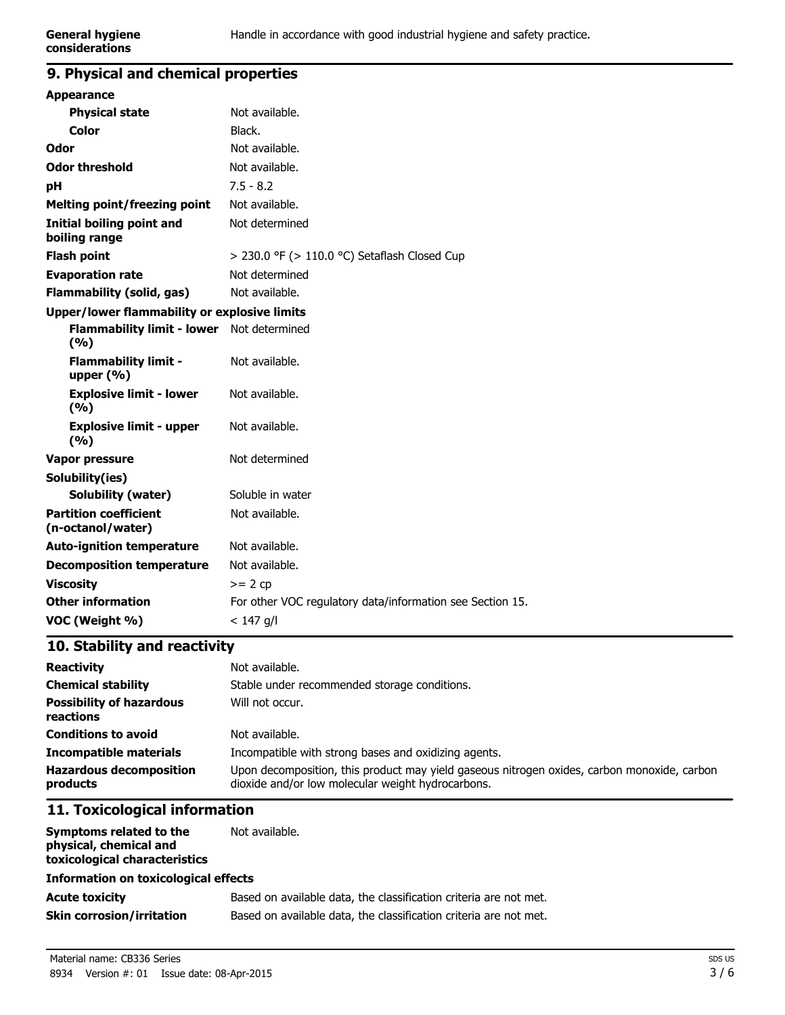#### **9. Physical and chemical properties**

| <b>Appearance</b>                                   |                                                           |
|-----------------------------------------------------|-----------------------------------------------------------|
| <b>Physical state</b>                               | Not available.                                            |
| <b>Color</b>                                        | Black.                                                    |
| Odor                                                | Not available.                                            |
| <b>Odor threshold</b>                               | Not available.                                            |
| рH                                                  | $7.5 - 8.2$                                               |
| <b>Melting point/freezing point</b>                 | Not available.                                            |
| <b>Initial boiling point and</b><br>boiling range   | Not determined                                            |
| <b>Flash point</b>                                  | > 230.0 °F (> 110.0 °C) Setaflash Closed Cup              |
| <b>Evaporation rate</b>                             | Not determined                                            |
| <b>Flammability (solid, gas)</b>                    | Not available.                                            |
| <b>Upper/lower flammability or explosive limits</b> |                                                           |
| Flammability limit - lower Not determined<br>(9/6)  |                                                           |
| <b>Flammability limit -</b><br>upper $(% )$         | Not available.                                            |
| <b>Explosive limit - lower</b><br>(%)               | Not available.                                            |
| <b>Explosive limit - upper</b><br>(%)               | Not available.                                            |
| <b>Vapor pressure</b>                               | Not determined                                            |
| Solubility(ies)                                     |                                                           |
| <b>Solubility (water)</b>                           | Soluble in water                                          |
| <b>Partition coefficient</b><br>(n-octanol/water)   | Not available.                                            |
| <b>Auto-ignition temperature</b>                    | Not available.                                            |
| <b>Decomposition temperature</b>                    | Not available.                                            |
| <b>Viscosity</b>                                    | $>= 2 cp$                                                 |
| <b>Other information</b>                            | For other VOC regulatory data/information see Section 15. |
| VOC (Weight %)                                      | $< 147$ g/l                                               |
|                                                     |                                                           |

### **10. Stability and reactivity**

| <b>Reactivity</b>                            | Not available.                                                                                                                                   |
|----------------------------------------------|--------------------------------------------------------------------------------------------------------------------------------------------------|
| <b>Chemical stability</b>                    | Stable under recommended storage conditions.                                                                                                     |
| <b>Possibility of hazardous</b><br>reactions | Will not occur.                                                                                                                                  |
| <b>Conditions to avoid</b>                   | Not available.                                                                                                                                   |
| <b>Incompatible materials</b>                | Incompatible with strong bases and oxidizing agents.                                                                                             |
| <b>Hazardous decomposition</b><br>products   | Upon decomposition, this product may yield gaseous nitrogen oxides, carbon monoxide, carbon<br>dioxide and/or low molecular weight hydrocarbons. |

# **11. Toxicological information**

| Symptoms related to the<br>physical, chemical and<br>toxicological characteristics | Not available.                                                    |
|------------------------------------------------------------------------------------|-------------------------------------------------------------------|
| <b>Information on toxicological effects</b>                                        |                                                                   |
| <b>Acute toxicity</b>                                                              | Based on available data, the classification criteria are not met. |
| <b>Skin corrosion/irritation</b>                                                   | Based on available data, the classification criteria are not met. |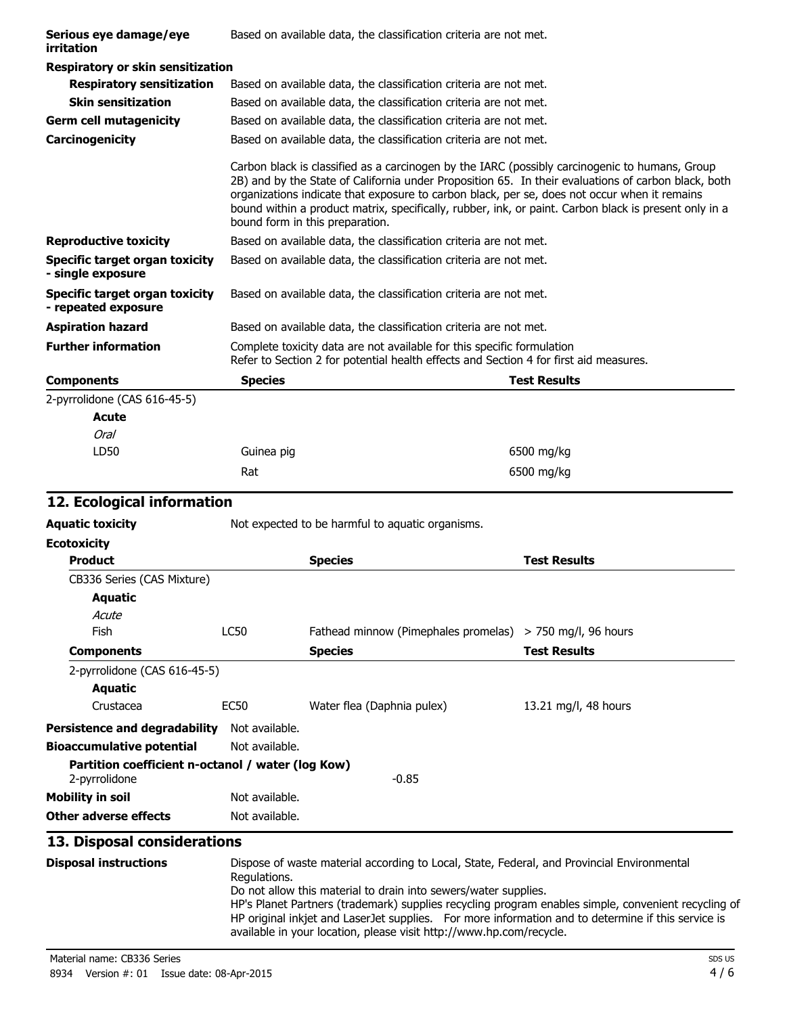| Serious eye damage/eye<br>irritation                  | Based on available data, the classification criteria are not met. |                                                                                                                                                                                                                                                                                                                                                                                                                |  |
|-------------------------------------------------------|-------------------------------------------------------------------|----------------------------------------------------------------------------------------------------------------------------------------------------------------------------------------------------------------------------------------------------------------------------------------------------------------------------------------------------------------------------------------------------------------|--|
| <b>Respiratory or skin sensitization</b>              |                                                                   |                                                                                                                                                                                                                                                                                                                                                                                                                |  |
| <b>Respiratory sensitization</b>                      |                                                                   | Based on available data, the classification criteria are not met.                                                                                                                                                                                                                                                                                                                                              |  |
| <b>Skin sensitization</b>                             |                                                                   | Based on available data, the classification criteria are not met.                                                                                                                                                                                                                                                                                                                                              |  |
| <b>Germ cell mutagenicity</b>                         |                                                                   | Based on available data, the classification criteria are not met.                                                                                                                                                                                                                                                                                                                                              |  |
| Carcinogenicity                                       |                                                                   | Based on available data, the classification criteria are not met.                                                                                                                                                                                                                                                                                                                                              |  |
|                                                       | bound form in this preparation.                                   | Carbon black is classified as a carcinogen by the IARC (possibly carcinogenic to humans, Group<br>2B) and by the State of California under Proposition 65. In their evaluations of carbon black, both<br>organizations indicate that exposure to carbon black, per se, does not occur when it remains<br>bound within a product matrix, specifically, rubber, ink, or paint. Carbon black is present only in a |  |
| <b>Reproductive toxicity</b>                          |                                                                   | Based on available data, the classification criteria are not met.                                                                                                                                                                                                                                                                                                                                              |  |
| Specific target organ toxicity<br>- single exposure   |                                                                   | Based on available data, the classification criteria are not met.                                                                                                                                                                                                                                                                                                                                              |  |
| Specific target organ toxicity<br>- repeated exposure |                                                                   | Based on available data, the classification criteria are not met.                                                                                                                                                                                                                                                                                                                                              |  |
| <b>Aspiration hazard</b>                              |                                                                   | Based on available data, the classification criteria are not met.                                                                                                                                                                                                                                                                                                                                              |  |
| <b>Further information</b>                            |                                                                   | Complete toxicity data are not available for this specific formulation<br>Refer to Section 2 for potential health effects and Section 4 for first aid measures.                                                                                                                                                                                                                                                |  |
| <b>Components</b>                                     | <b>Species</b>                                                    | <b>Test Results</b>                                                                                                                                                                                                                                                                                                                                                                                            |  |
| 2-pyrrolidone (CAS 616-45-5)                          |                                                                   |                                                                                                                                                                                                                                                                                                                                                                                                                |  |
| Acute                                                 |                                                                   |                                                                                                                                                                                                                                                                                                                                                                                                                |  |
| Oral                                                  |                                                                   |                                                                                                                                                                                                                                                                                                                                                                                                                |  |
| LD50                                                  | Guinea pig                                                        | 6500 mg/kg                                                                                                                                                                                                                                                                                                                                                                                                     |  |

## **12. Ecological information**

| Aquatic toxicity | Not expected to be harmful to aquatic organisms. |  |
|------------------|--------------------------------------------------|--|
|                  |                                                  |  |

| <b>Ecotoxicity</b>                                                 |                |                                      |                        |
|--------------------------------------------------------------------|----------------|--------------------------------------|------------------------|
| <b>Product</b>                                                     |                | <b>Species</b>                       | <b>Test Results</b>    |
| CB336 Series (CAS Mixture)                                         |                |                                      |                        |
| <b>Aquatic</b>                                                     |                |                                      |                        |
| Acute                                                              |                |                                      |                        |
| <b>Fish</b>                                                        | LC50           | Fathead minnow (Pimephales promelas) | $>$ 750 mg/l, 96 hours |
| <b>Components</b>                                                  |                | <b>Species</b>                       | <b>Test Results</b>    |
| 2-pyrrolidone (CAS 616-45-5)                                       |                |                                      |                        |
| Aquatic                                                            |                |                                      |                        |
| Crustacea                                                          | EC50           | Water flea (Daphnia pulex)           | 13.21 mg/l, 48 hours   |
| <b>Persistence and degradability</b>                               | Not available. |                                      |                        |
| <b>Bioaccumulative potential</b>                                   | Not available. |                                      |                        |
| Partition coefficient n-octanol / water (log Kow)<br>2-pyrrolidone |                | $-0.85$                              |                        |
| <b>Mobility in soil</b>                                            | Not available. |                                      |                        |
| Other adverse effects                                              | Not available. |                                      |                        |

Rat 6500 mg/kg

# **13. Disposal considerations**

| <b>Disposal instructions</b> | Dispose of waste material according to Local, State, Federal, and Provincial Environmental<br>Regulations.                                                                |
|------------------------------|---------------------------------------------------------------------------------------------------------------------------------------------------------------------------|
|                              | Do not allow this material to drain into sewers/water supplies.<br>HP's Planet Partners (trademark) supplies recycling program enables simple, convenient recycling of    |
|                              | HP original inkjet and LaserJet supplies. For more information and to determine if this service is<br>available in your location, please visit http://www.hp.com/recycle. |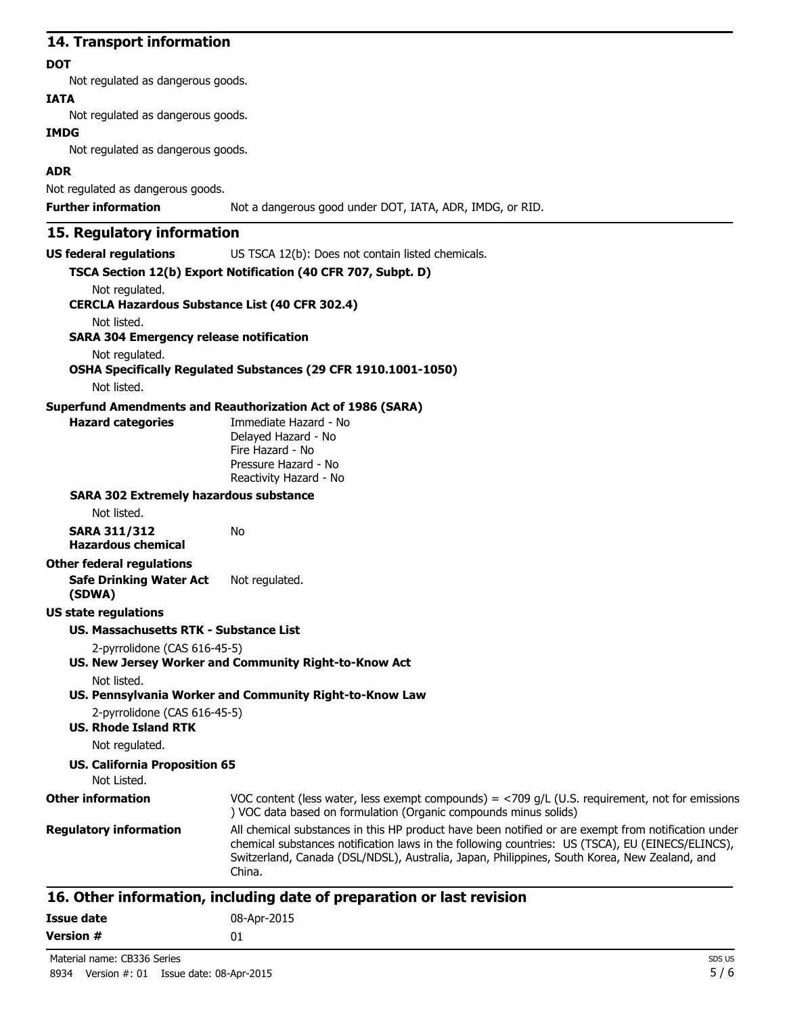#### **14. Transport information**

#### **DOT**

Not regulated as dangerous goods.

#### **IATA**

Not regulated as dangerous goods.

#### **IMDG**

Not regulated as dangerous goods.

#### **ADR**

Not regulated as dangerous goods.

**Further information** Not a dangerous good under DOT, IATA, ADR, IMDG, or RID.

### **15. Regulatory information**

**US federal regulations** US TSCA 12(b): Does not contain listed chemicals.

|                                                       | TSCA Section 12(b) Export Notification (40 CFR 707, Subpt. D)                                                                                                                                                                                                                                                     |
|-------------------------------------------------------|-------------------------------------------------------------------------------------------------------------------------------------------------------------------------------------------------------------------------------------------------------------------------------------------------------------------|
| Not regulated.                                        |                                                                                                                                                                                                                                                                                                                   |
| <b>CERCLA Hazardous Substance List (40 CFR 302.4)</b> |                                                                                                                                                                                                                                                                                                                   |
| Not listed.                                           |                                                                                                                                                                                                                                                                                                                   |
| <b>SARA 304 Emergency release notification</b>        |                                                                                                                                                                                                                                                                                                                   |
| Not regulated.                                        |                                                                                                                                                                                                                                                                                                                   |
|                                                       | OSHA Specifically Regulated Substances (29 CFR 1910.1001-1050)                                                                                                                                                                                                                                                    |
| Not listed.                                           |                                                                                                                                                                                                                                                                                                                   |
|                                                       | <b>Superfund Amendments and Reauthorization Act of 1986 (SARA)</b>                                                                                                                                                                                                                                                |
| <b>Hazard categories</b>                              | Immediate Hazard - No<br>Delayed Hazard - No                                                                                                                                                                                                                                                                      |
|                                                       | Fire Hazard - No                                                                                                                                                                                                                                                                                                  |
|                                                       | Pressure Hazard - No                                                                                                                                                                                                                                                                                              |
|                                                       | Reactivity Hazard - No                                                                                                                                                                                                                                                                                            |
| <b>SARA 302 Extremely hazardous substance</b>         |                                                                                                                                                                                                                                                                                                                   |
| Not listed.                                           |                                                                                                                                                                                                                                                                                                                   |
| <b>SARA 311/312</b>                                   | No                                                                                                                                                                                                                                                                                                                |
| <b>Hazardous chemical</b>                             |                                                                                                                                                                                                                                                                                                                   |
| <b>Other federal regulations</b>                      |                                                                                                                                                                                                                                                                                                                   |
| <b>Safe Drinking Water Act</b>                        | Not regulated.                                                                                                                                                                                                                                                                                                    |
| (SDWA)                                                |                                                                                                                                                                                                                                                                                                                   |
| <b>US state regulations</b>                           |                                                                                                                                                                                                                                                                                                                   |
| <b>US. Massachusetts RTK - Substance List</b>         |                                                                                                                                                                                                                                                                                                                   |
| 2-pyrrolidone (CAS 616-45-5)                          |                                                                                                                                                                                                                                                                                                                   |
|                                                       | US. New Jersey Worker and Community Right-to-Know Act                                                                                                                                                                                                                                                             |
| Not listed.                                           |                                                                                                                                                                                                                                                                                                                   |
|                                                       | US. Pennsylvania Worker and Community Right-to-Know Law                                                                                                                                                                                                                                                           |
| 2-pyrrolidone (CAS 616-45-5)                          |                                                                                                                                                                                                                                                                                                                   |
| <b>US. Rhode Island RTK</b>                           |                                                                                                                                                                                                                                                                                                                   |
| Not regulated.                                        |                                                                                                                                                                                                                                                                                                                   |
| <b>US. California Proposition 65</b>                  |                                                                                                                                                                                                                                                                                                                   |
| Not Listed.                                           |                                                                                                                                                                                                                                                                                                                   |
| <b>Other information</b>                              | VOC content (less water, less exempt compounds) = $<$ 709 g/L (U.S. requirement, not for emissions<br>) VOC data based on formulation (Organic compounds minus solids)                                                                                                                                            |
| <b>Regulatory information</b>                         | All chemical substances in this HP product have been notified or are exempt from notification under<br>chemical substances notification laws in the following countries: US (TSCA), EU (EINECS/ELINCS),<br>Switzerland, Canada (DSL/NDSL), Australia, Japan, Philippines, South Korea, New Zealand, and<br>China. |

| Issue date       | 08-Apr-2015 |
|------------------|-------------|
| <b>Version #</b> | 01          |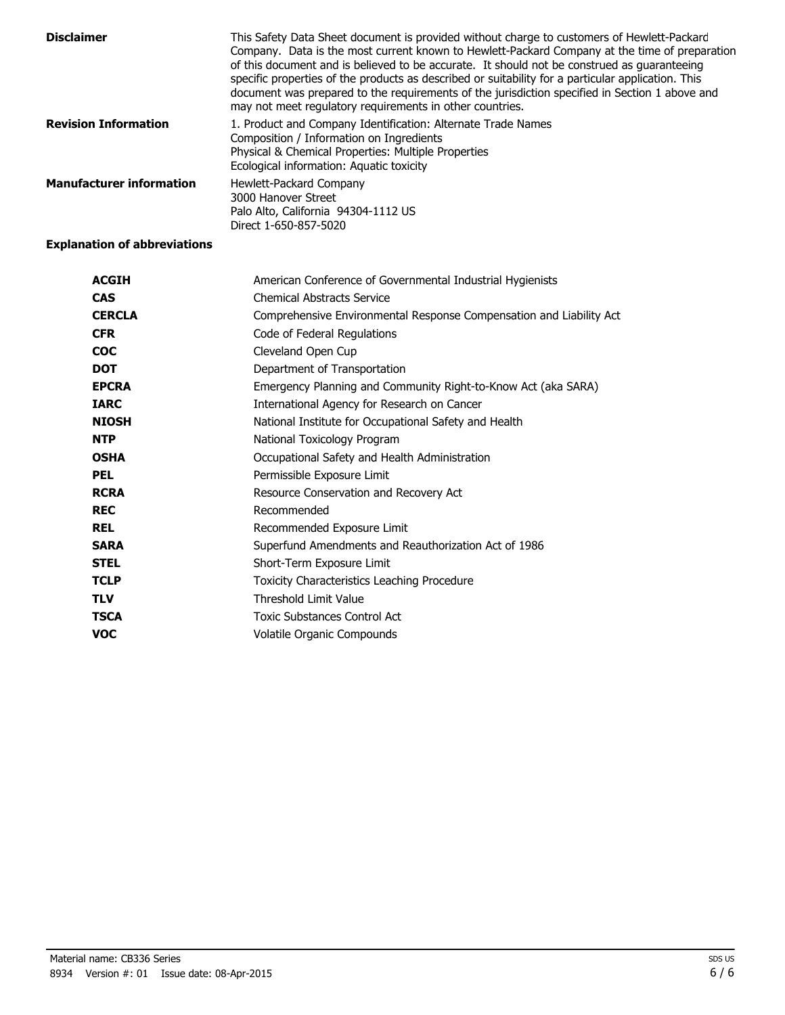| <b>Disclaimer</b>               | This Safety Data Sheet document is provided without charge to customers of Hewlett-Packard<br>Company. Data is the most current known to Hewlett-Packard Company at the time of preparation<br>of this document and is believed to be accurate. It should not be construed as quaranteeing<br>specific properties of the products as described or suitability for a particular application. This<br>document was prepared to the requirements of the jurisdiction specified in Section 1 above and<br>may not meet regulatory requirements in other countries. |
|---------------------------------|----------------------------------------------------------------------------------------------------------------------------------------------------------------------------------------------------------------------------------------------------------------------------------------------------------------------------------------------------------------------------------------------------------------------------------------------------------------------------------------------------------------------------------------------------------------|
| <b>Revision Information</b>     | 1. Product and Company Identification: Alternate Trade Names<br>Composition / Information on Ingredients<br>Physical & Chemical Properties: Multiple Properties<br>Ecological information: Aquatic toxicity                                                                                                                                                                                                                                                                                                                                                    |
| <b>Manufacturer information</b> | Hewlett-Packard Company<br>3000 Hanover Street<br>Palo Alto, California 94304-1112 US<br>Direct 1-650-857-5020                                                                                                                                                                                                                                                                                                                                                                                                                                                 |

#### **Explanation of abbreviations**

| <b>ACGIH</b>  | American Conference of Governmental Industrial Hygienists           |
|---------------|---------------------------------------------------------------------|
| <b>CAS</b>    | <b>Chemical Abstracts Service</b>                                   |
| <b>CERCLA</b> | Comprehensive Environmental Response Compensation and Liability Act |
| <b>CFR</b>    | Code of Federal Regulations                                         |
| <b>COC</b>    | Cleveland Open Cup                                                  |
| <b>DOT</b>    | Department of Transportation                                        |
| <b>EPCRA</b>  | Emergency Planning and Community Right-to-Know Act (aka SARA)       |
| <b>IARC</b>   | International Agency for Research on Cancer                         |
| <b>NIOSH</b>  | National Institute for Occupational Safety and Health               |
| <b>NTP</b>    | National Toxicology Program                                         |
| <b>OSHA</b>   | Occupational Safety and Health Administration                       |
| <b>PEL</b>    | Permissible Exposure Limit                                          |
| <b>RCRA</b>   | Resource Conservation and Recovery Act                              |
| <b>REC</b>    | Recommended                                                         |
| <b>REL</b>    | Recommended Exposure Limit                                          |
| <b>SARA</b>   | Superfund Amendments and Reauthorization Act of 1986                |
| <b>STEL</b>   | Short-Term Exposure Limit                                           |
| <b>TCLP</b>   | Toxicity Characteristics Leaching Procedure                         |
| <b>TLV</b>    | Threshold Limit Value                                               |
| <b>TSCA</b>   | <b>Toxic Substances Control Act</b>                                 |
| <b>VOC</b>    | Volatile Organic Compounds                                          |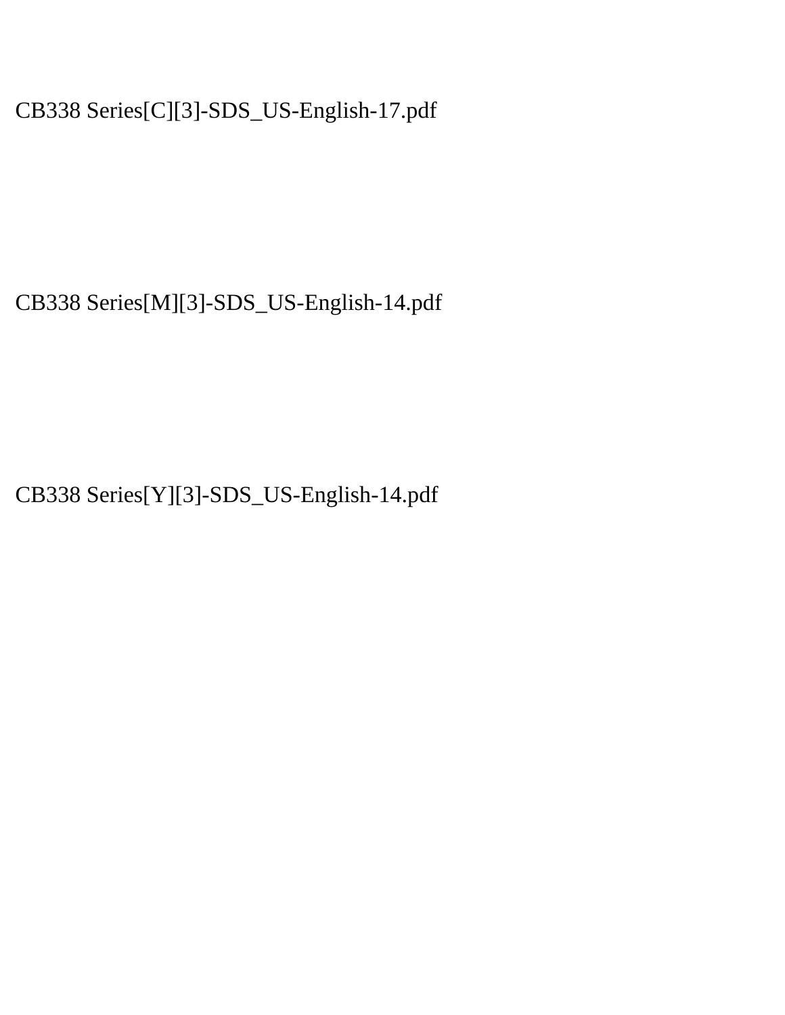CB338 Series[C][3]-SDS\_US-English-17.pdf

CB338 Series[M][3]-SDS\_US-English-14.pdf

CB338 Series[Y][3]-SDS\_US-English-14.pdf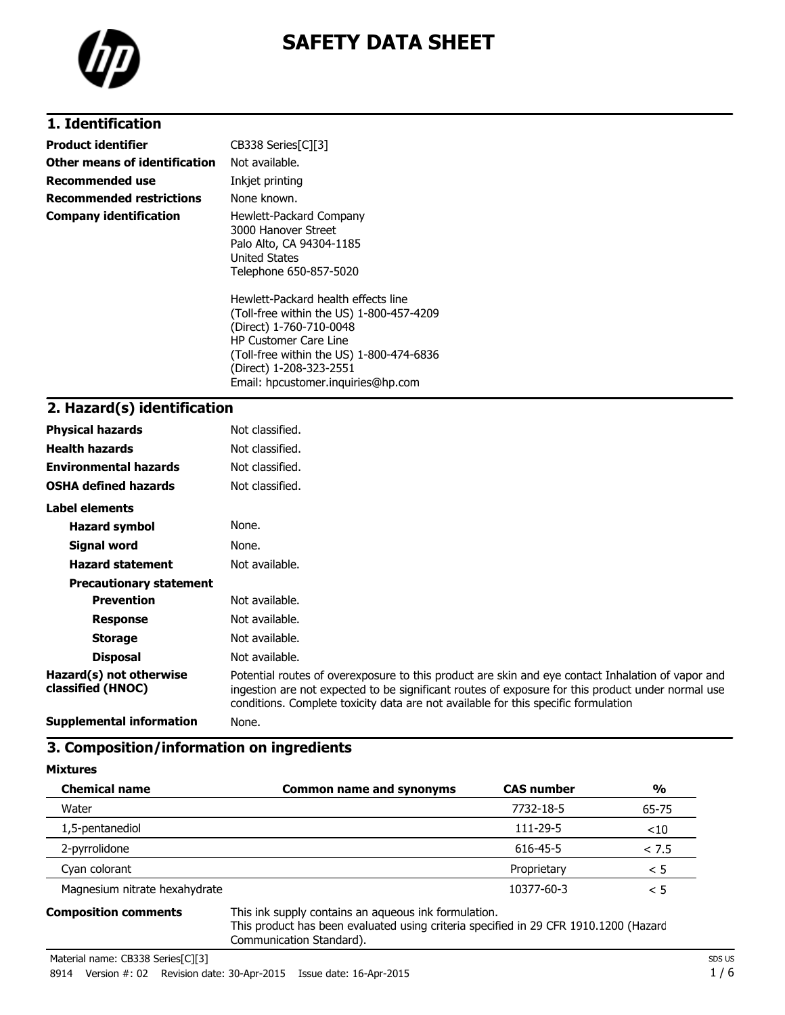

# **SAFETY DATA SHEET**

#### **1. Identification**

| Product identifier            | CB338 Series[C][3]                                                                                                                                                                                              |
|-------------------------------|-----------------------------------------------------------------------------------------------------------------------------------------------------------------------------------------------------------------|
| Other means of identification | Not available.                                                                                                                                                                                                  |
| Recommended use               | Inkjet printing                                                                                                                                                                                                 |
| Recommended restrictions      | None known.                                                                                                                                                                                                     |
| Company identification        | Hewlett-Packard Company<br>3000 Hanover Street<br>Palo Alto, CA 94304-1185<br><b>United States</b><br>Telephone 650-857-5020<br>Hewlett-Packard health effects line<br>(Toll-free within the US) 1-800-457-4209 |
|                               | (Direct) 1-760-710-0048<br><b>HP Customer Care Line</b><br>(Toll-free within the US) 1-800-474-6836<br>(Direct) 1-208-323-2551<br>Email: hpcustomer.inguiries@hp.com                                            |

### **2. Hazard(s) identification**

| <b>Physical hazards</b>                      | Not classified.                                                                                                                                                                                                                                                                              |
|----------------------------------------------|----------------------------------------------------------------------------------------------------------------------------------------------------------------------------------------------------------------------------------------------------------------------------------------------|
| <b>Health hazards</b>                        | Not classified.                                                                                                                                                                                                                                                                              |
| <b>Environmental hazards</b>                 | Not classified.                                                                                                                                                                                                                                                                              |
| <b>OSHA defined hazards</b>                  | Not classified.                                                                                                                                                                                                                                                                              |
| Label elements                               |                                                                                                                                                                                                                                                                                              |
| <b>Hazard symbol</b>                         | None.                                                                                                                                                                                                                                                                                        |
| Signal word                                  | None.                                                                                                                                                                                                                                                                                        |
| <b>Hazard statement</b>                      | Not available.                                                                                                                                                                                                                                                                               |
| <b>Precautionary statement</b>               |                                                                                                                                                                                                                                                                                              |
| <b>Prevention</b>                            | Not available.                                                                                                                                                                                                                                                                               |
| <b>Response</b>                              | Not available.                                                                                                                                                                                                                                                                               |
| <b>Storage</b>                               | Not available.                                                                                                                                                                                                                                                                               |
| <b>Disposal</b>                              | Not available.                                                                                                                                                                                                                                                                               |
| Hazard(s) not otherwise<br>classified (HNOC) | Potential routes of overexposure to this product are skin and eye contact Inhalation of vapor and<br>ingestion are not expected to be significant routes of exposure for this product under normal use<br>conditions. Complete toxicity data are not available for this specific formulation |
| <b>Supplemental information</b>              | None.                                                                                                                                                                                                                                                                                        |

# **3. Composition/information on ingredients**

#### **Mixtures**

| <b>Chemical name</b>          | <b>Common name and synonyms</b> | <b>CAS number</b> | %        |
|-------------------------------|---------------------------------|-------------------|----------|
| Water                         |                                 | 7732-18-5         | 65-75    |
| 1,5-pentanediol               |                                 | 111-29-5          | < 10     |
| 2-pyrrolidone                 |                                 | 616-45-5          | < 7.5    |
| Cyan colorant                 |                                 | Proprietary       | < 5      |
| Magnesium nitrate hexahydrate |                                 | 10377-60-3        | $\leq 5$ |
|                               |                                 |                   |          |

**Composition comments** This ink supply contains an aqueous ink formulation. This product has been evaluated using criteria specified in 29 CFR 1910.1200 (Hazard Communication Standard).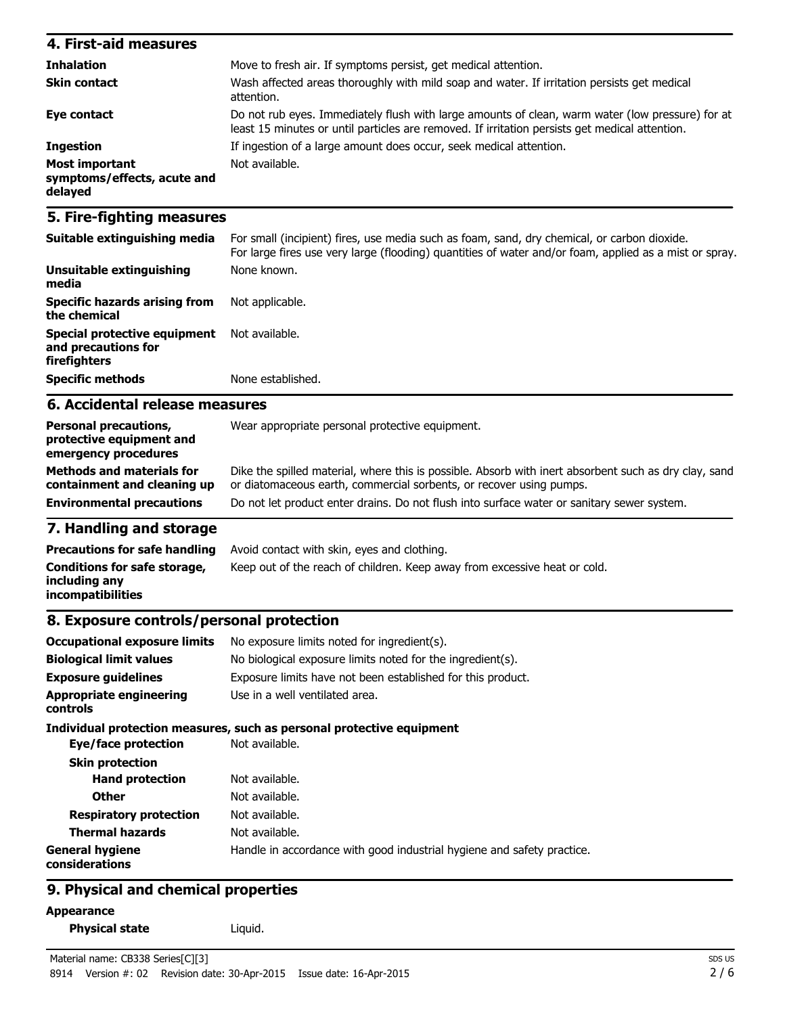| 4. First-aid measures                                    |                                                                                                                                                                                                    |
|----------------------------------------------------------|----------------------------------------------------------------------------------------------------------------------------------------------------------------------------------------------------|
| <b>Inhalation</b>                                        | Move to fresh air. If symptoms persist, get medical attention.                                                                                                                                     |
| <b>Skin contact</b>                                      | Wash affected areas thoroughly with mild soap and water. If irritation persists get medical<br>attention.                                                                                          |
| Eye contact                                              | Do not rub eyes. Immediately flush with large amounts of clean, warm water (low pressure) for at<br>least 15 minutes or until particles are removed. If irritation persists get medical attention. |
| <b>Ingestion</b>                                         | If ingestion of a large amount does occur, seek medical attention.                                                                                                                                 |
| Most important<br>symptoms/effects, acute and<br>delayed | Not available.                                                                                                                                                                                     |

#### **5. Fire-fighting measures**

| Suitable extinguishing media                                        | For small (incipient) fires, use media such as foam, sand, dry chemical, or carbon dioxide.<br>For large fires use very large (flooding) quantities of water and/or foam, applied as a mist or spray. |
|---------------------------------------------------------------------|-------------------------------------------------------------------------------------------------------------------------------------------------------------------------------------------------------|
| Unsuitable extinguishing<br>media                                   | None known.                                                                                                                                                                                           |
| Specific hazards arising from<br>the chemical                       | Not applicable.                                                                                                                                                                                       |
| Special protective equipment<br>and precautions for<br>firefighters | Not available.                                                                                                                                                                                        |
| <b>Specific methods</b>                                             | None established.                                                                                                                                                                                     |

#### **6. Accidental release measures**

| <b>Environmental precautions</b>                                                 | Do not let product enter drains. Do not flush into surface water or sanitary sewer system.                                                                                   |
|----------------------------------------------------------------------------------|------------------------------------------------------------------------------------------------------------------------------------------------------------------------------|
| <b>Methods and materials for</b><br>containment and cleaning up                  | Dike the spilled material, where this is possible. Absorb with inert absorbent such as dry clay, sand<br>or diatomaceous earth, commercial sorbents, or recover using pumps. |
| <b>Personal precautions,</b><br>protective equipment and<br>emergency procedures | Wear appropriate personal protective equipment.                                                                                                                              |

#### **7. Handling and storage**

| <b>Precautions for safe handling</b>                               | Avoid contact with skin, eyes and clothing.                               |
|--------------------------------------------------------------------|---------------------------------------------------------------------------|
| Conditions for safe storage,<br>including anv<br>incompatibilities | Keep out of the reach of children. Keep away from excessive heat or cold. |

### **8. Exposure controls/personal protection**

| <b>Occupational exposure limits</b>               | No exposure limits noted for ingredient(s).                            |
|---------------------------------------------------|------------------------------------------------------------------------|
| <b>Biological limit values</b>                    | No biological exposure limits noted for the ingredient(s).             |
| <b>Exposure guidelines</b>                        | Exposure limits have not been established for this product.            |
| <b>Appropriate engineering</b><br><b>controls</b> | Use in a well ventilated area.                                         |
|                                                   | Individual protection measures, such as personal protective equipment  |
| Eye/face protection                               | Not available.                                                         |
| <b>Skin protection</b>                            |                                                                        |
| <b>Hand protection</b>                            | Not available.                                                         |
| <b>Other</b>                                      | Not available.                                                         |
| <b>Respiratory protection</b>                     | Not available.                                                         |
| <b>Thermal hazards</b>                            | Not available.                                                         |
| <b>General hygiene</b><br>considerations          | Handle in accordance with good industrial hygiene and safety practice. |

#### **9. Physical and chemical properties**

**Appearance**

```
Physical state Liquid.
```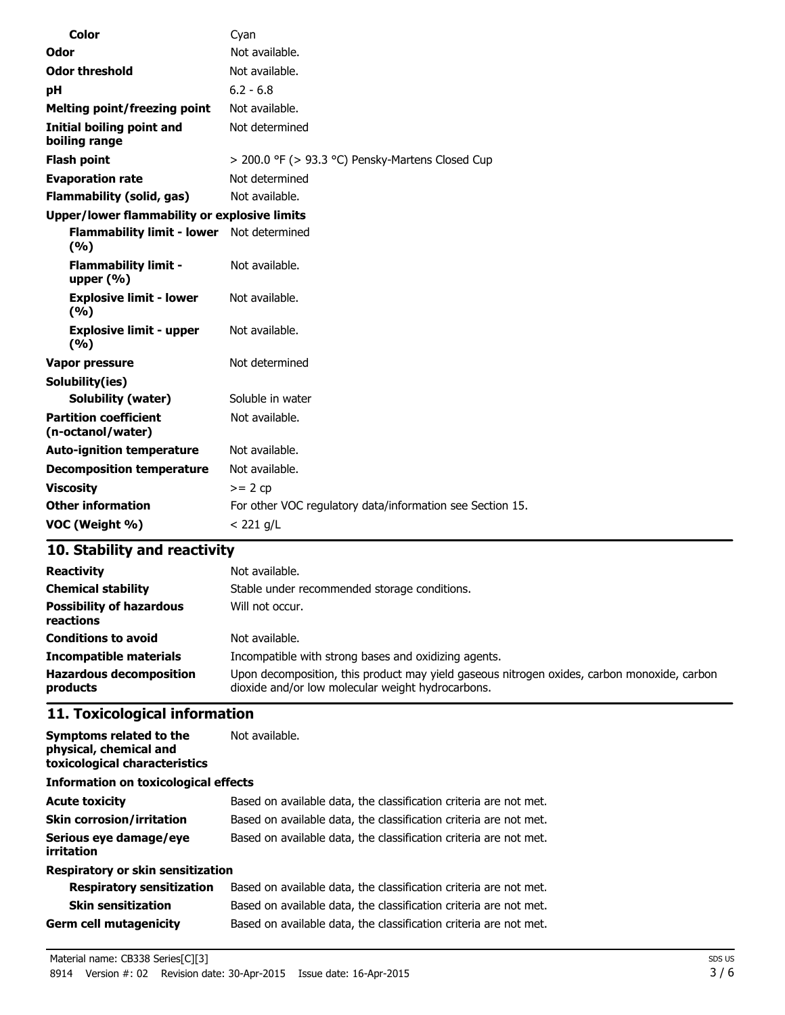| <b>Color</b>                                        | Cyan                                                      |
|-----------------------------------------------------|-----------------------------------------------------------|
| Odor                                                | Not available.                                            |
| <b>Odor threshold</b>                               | Not available.                                            |
| рH                                                  | $6.2 - 6.8$                                               |
| <b>Melting point/freezing point</b>                 | Not available.                                            |
| Initial boiling point and<br>boiling range          | Not determined                                            |
| <b>Flash point</b>                                  | > 200.0 °F (> 93.3 °C) Pensky-Martens Closed Cup          |
| <b>Evaporation rate</b>                             | Not determined                                            |
| <b>Flammability (solid, gas)</b>                    | Not available.                                            |
| <b>Upper/lower flammability or explosive limits</b> |                                                           |
| <b>Flammability limit - lower</b><br>(%)            | Not determined                                            |
| <b>Flammability limit -</b><br>upper $(% )$         | Not available.                                            |
| <b>Explosive limit - lower</b><br>(%)               | Not available.                                            |
| <b>Explosive limit - upper</b><br>(9/6)             | Not available.                                            |
| Vapor pressure                                      | Not determined                                            |
| Solubility(ies)                                     |                                                           |
| <b>Solubility (water)</b>                           | Soluble in water                                          |
| <b>Partition coefficient</b><br>(n-octanol/water)   | Not available.                                            |
| <b>Auto-ignition temperature</b>                    | Not available.                                            |
| <b>Decomposition temperature</b>                    | Not available.                                            |
| <b>Viscosity</b>                                    | $>= 2 cp$                                                 |
| <b>Other information</b>                            | For other VOC regulatory data/information see Section 15. |
| VOC (Weight %)                                      | $< 221$ g/L                                               |

## **10. Stability and reactivity**

| <b>Reactivity</b>                            | Not available.                                                                                                                                   |
|----------------------------------------------|--------------------------------------------------------------------------------------------------------------------------------------------------|
| <b>Chemical stability</b>                    | Stable under recommended storage conditions.                                                                                                     |
| <b>Possibility of hazardous</b><br>reactions | Will not occur.                                                                                                                                  |
| <b>Conditions to avoid</b>                   | Not available.                                                                                                                                   |
| <b>Incompatible materials</b>                | Incompatible with strong bases and oxidizing agents.                                                                                             |
| <b>Hazardous decomposition</b><br>products   | Upon decomposition, this product may yield gaseous nitrogen oxides, carbon monoxide, carbon<br>dioxide and/or low molecular weight hydrocarbons. |

## **11. Toxicological information**

| Symptoms related to the<br>physical, chemical and<br>toxicological characteristics | Not available.                                                    |
|------------------------------------------------------------------------------------|-------------------------------------------------------------------|
| Information on toxicological effects                                               |                                                                   |
| <b>Acute toxicity</b>                                                              | Based on available data, the classification criteria are not met. |
| <b>Skin corrosion/irritation</b>                                                   | Based on available data, the classification criteria are not met. |
| Serious eye damage/eye<br>irritation                                               | Based on available data, the classification criteria are not met. |
| <b>Respiratory or skin sensitization</b>                                           |                                                                   |
| <b>Respiratory sensitization</b>                                                   | Based on available data, the classification criteria are not met. |
| <b>Skin sensitization</b>                                                          | Based on available data, the classification criteria are not met. |
| Germ cell mutagenicity                                                             | Based on available data, the classification criteria are not met. |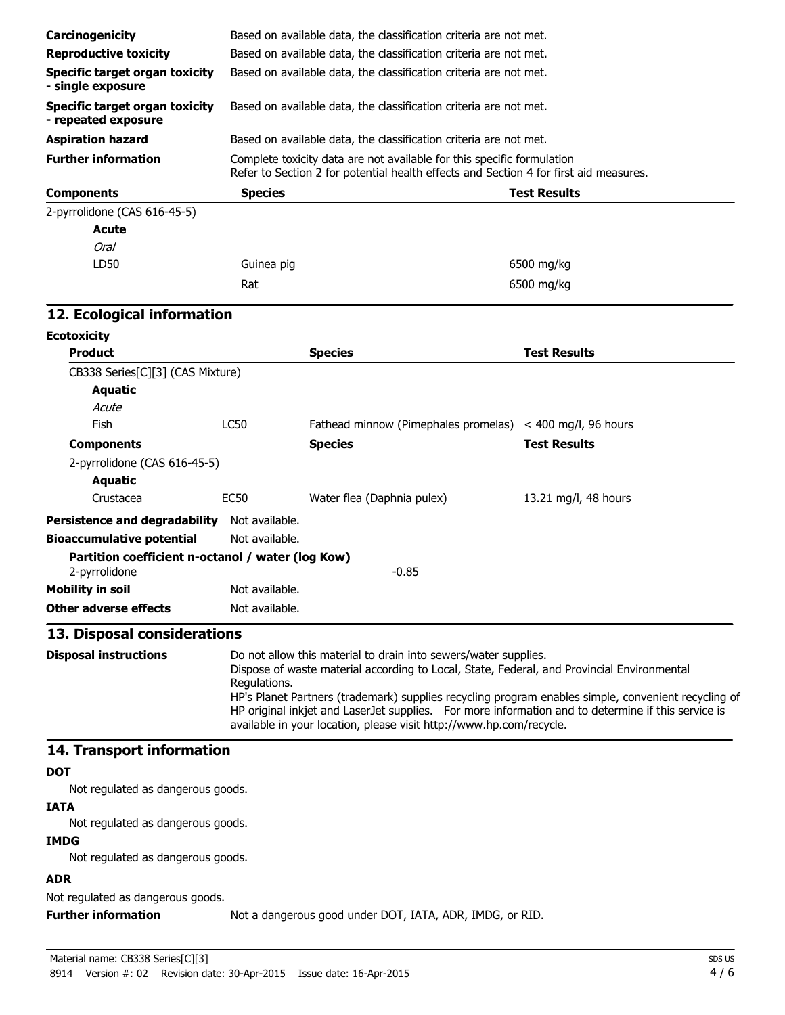| Carcinogenicity                                                    |                                                                                                                                                                                                                                                                                                                                                                                                                                                                   | Based on available data, the classification criteria are not met.                     |                        |
|--------------------------------------------------------------------|-------------------------------------------------------------------------------------------------------------------------------------------------------------------------------------------------------------------------------------------------------------------------------------------------------------------------------------------------------------------------------------------------------------------------------------------------------------------|---------------------------------------------------------------------------------------|------------------------|
| <b>Reproductive toxicity</b>                                       |                                                                                                                                                                                                                                                                                                                                                                                                                                                                   | Based on available data, the classification criteria are not met.                     |                        |
| <b>Specific target organ toxicity</b><br>- single exposure         |                                                                                                                                                                                                                                                                                                                                                                                                                                                                   | Based on available data, the classification criteria are not met.                     |                        |
| <b>Specific target organ toxicity</b><br>- repeated exposure       |                                                                                                                                                                                                                                                                                                                                                                                                                                                                   | Based on available data, the classification criteria are not met.                     |                        |
| <b>Aspiration hazard</b>                                           |                                                                                                                                                                                                                                                                                                                                                                                                                                                                   | Based on available data, the classification criteria are not met.                     |                        |
| <b>Further information</b>                                         |                                                                                                                                                                                                                                                                                                                                                                                                                                                                   | Complete toxicity data are not available for this specific formulation                |                        |
|                                                                    |                                                                                                                                                                                                                                                                                                                                                                                                                                                                   | Refer to Section 2 for potential health effects and Section 4 for first aid measures. |                        |
| <b>Components</b>                                                  | <b>Species</b>                                                                                                                                                                                                                                                                                                                                                                                                                                                    |                                                                                       | <b>Test Results</b>    |
| 2-pyrrolidone (CAS 616-45-5)                                       |                                                                                                                                                                                                                                                                                                                                                                                                                                                                   |                                                                                       |                        |
| <b>Acute</b>                                                       |                                                                                                                                                                                                                                                                                                                                                                                                                                                                   |                                                                                       |                        |
| <b>Oral</b>                                                        |                                                                                                                                                                                                                                                                                                                                                                                                                                                                   |                                                                                       |                        |
| LD50                                                               | Guinea pig                                                                                                                                                                                                                                                                                                                                                                                                                                                        |                                                                                       | 6500 mg/kg             |
|                                                                    | Rat                                                                                                                                                                                                                                                                                                                                                                                                                                                               |                                                                                       | 6500 mg/kg             |
| 12. Ecological information                                         |                                                                                                                                                                                                                                                                                                                                                                                                                                                                   |                                                                                       |                        |
| <b>Ecotoxicity</b>                                                 |                                                                                                                                                                                                                                                                                                                                                                                                                                                                   |                                                                                       |                        |
| <b>Product</b>                                                     |                                                                                                                                                                                                                                                                                                                                                                                                                                                                   | <b>Species</b>                                                                        | <b>Test Results</b>    |
| CB338 Series[C][3] (CAS Mixture)                                   |                                                                                                                                                                                                                                                                                                                                                                                                                                                                   |                                                                                       |                        |
| <b>Aquatic</b>                                                     |                                                                                                                                                                                                                                                                                                                                                                                                                                                                   |                                                                                       |                        |
| Acute                                                              |                                                                                                                                                                                                                                                                                                                                                                                                                                                                   |                                                                                       |                        |
| Fish                                                               | <b>LC50</b>                                                                                                                                                                                                                                                                                                                                                                                                                                                       | Fathead minnow (Pimephales promelas)                                                  | $<$ 400 mg/l, 96 hours |
| <b>Components</b>                                                  |                                                                                                                                                                                                                                                                                                                                                                                                                                                                   | <b>Species</b>                                                                        | <b>Test Results</b>    |
| 2-pyrrolidone (CAS 616-45-5)                                       |                                                                                                                                                                                                                                                                                                                                                                                                                                                                   |                                                                                       |                        |
| <b>Aquatic</b>                                                     |                                                                                                                                                                                                                                                                                                                                                                                                                                                                   |                                                                                       |                        |
| Crustacea                                                          | <b>EC50</b>                                                                                                                                                                                                                                                                                                                                                                                                                                                       | Water flea (Daphnia pulex)                                                            | 13.21 mg/l, 48 hours   |
| <b>Persistence and degradability</b>                               | Not available.                                                                                                                                                                                                                                                                                                                                                                                                                                                    |                                                                                       |                        |
| <b>Bioaccumulative potential</b>                                   | Not available.                                                                                                                                                                                                                                                                                                                                                                                                                                                    |                                                                                       |                        |
| Partition coefficient n-octanol / water (log Kow)<br>2-pyrrolidone |                                                                                                                                                                                                                                                                                                                                                                                                                                                                   | $-0.85$                                                                               |                        |
| <b>Mobility in soil</b>                                            | Not available.                                                                                                                                                                                                                                                                                                                                                                                                                                                    |                                                                                       |                        |
| <b>Other adverse effects</b>                                       | Not available.                                                                                                                                                                                                                                                                                                                                                                                                                                                    |                                                                                       |                        |
| 13. Disposal considerations                                        |                                                                                                                                                                                                                                                                                                                                                                                                                                                                   |                                                                                       |                        |
| <b>Disposal instructions</b>                                       | Do not allow this material to drain into sewers/water supplies.<br>Dispose of waste material according to Local, State, Federal, and Provincial Environmental<br>Regulations.<br>HP's Planet Partners (trademark) supplies recycling program enables simple, convenient recycling of<br>HP original inkjet and LaserJet supplies. For more information and to determine if this service is<br>available in your location, please visit http://www.hp.com/recycle. |                                                                                       |                        |
| 14. Transport information                                          |                                                                                                                                                                                                                                                                                                                                                                                                                                                                   |                                                                                       |                        |
| <b>DOT</b>                                                         |                                                                                                                                                                                                                                                                                                                                                                                                                                                                   |                                                                                       |                        |
| Not regulated as dangerous goods.                                  |                                                                                                                                                                                                                                                                                                                                                                                                                                                                   |                                                                                       |                        |
| <b>IATA</b>                                                        |                                                                                                                                                                                                                                                                                                                                                                                                                                                                   |                                                                                       |                        |
| Not regulated as dangerous goods.                                  |                                                                                                                                                                                                                                                                                                                                                                                                                                                                   |                                                                                       |                        |
| <b>IMDG</b>                                                        |                                                                                                                                                                                                                                                                                                                                                                                                                                                                   |                                                                                       |                        |
| Not regulated as dangerous goods.                                  |                                                                                                                                                                                                                                                                                                                                                                                                                                                                   |                                                                                       |                        |
| <b>ADR</b>                                                         |                                                                                                                                                                                                                                                                                                                                                                                                                                                                   |                                                                                       |                        |

Not regulated as dangerous goods.

**Further information** Not a dangerous good under DOT, IATA, ADR, IMDG, or RID.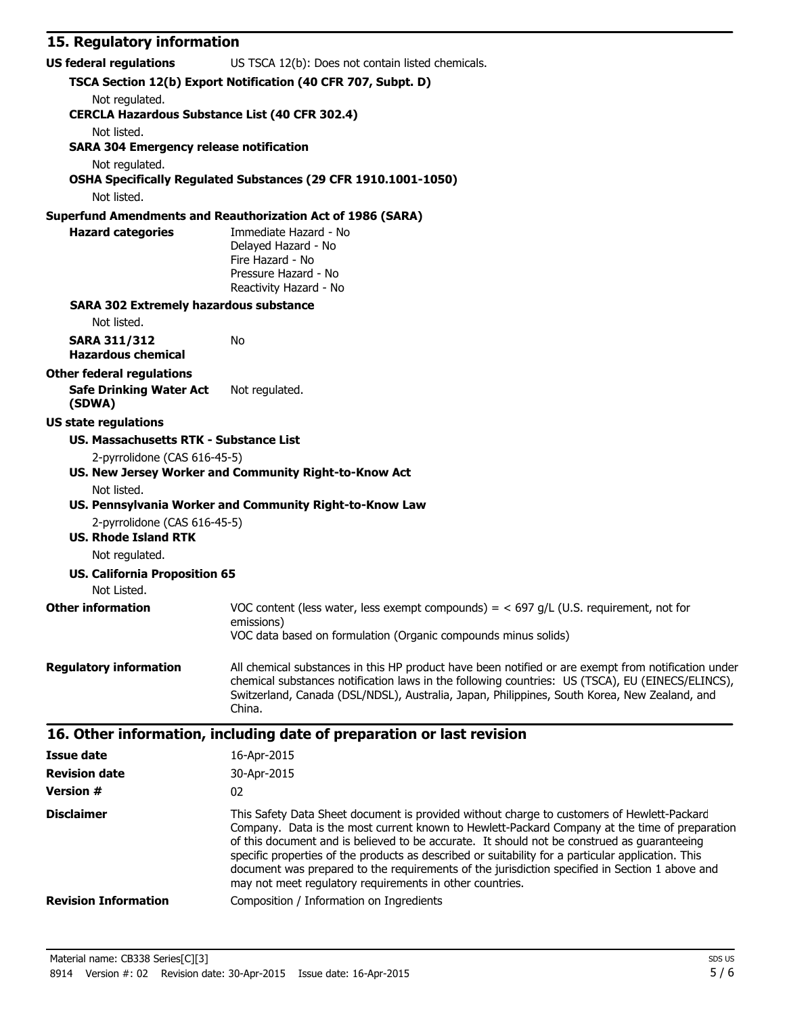#### **15. Regulatory information**

| <b>US federal regulations</b>                                                | US TSCA 12(b): Does not contain listed chemicals.                                                                                                                                                                                                                                                                                                                                                                                                                                                                                                              |
|------------------------------------------------------------------------------|----------------------------------------------------------------------------------------------------------------------------------------------------------------------------------------------------------------------------------------------------------------------------------------------------------------------------------------------------------------------------------------------------------------------------------------------------------------------------------------------------------------------------------------------------------------|
|                                                                              | TSCA Section 12(b) Export Notification (40 CFR 707, Subpt. D)                                                                                                                                                                                                                                                                                                                                                                                                                                                                                                  |
| Not regulated.<br><b>CERCLA Hazardous Substance List (40 CFR 302.4)</b>      |                                                                                                                                                                                                                                                                                                                                                                                                                                                                                                                                                                |
| Not listed.<br><b>SARA 304 Emergency release notification</b>                |                                                                                                                                                                                                                                                                                                                                                                                                                                                                                                                                                                |
| Not regulated.                                                               | OSHA Specifically Regulated Substances (29 CFR 1910.1001-1050)                                                                                                                                                                                                                                                                                                                                                                                                                                                                                                 |
| Not listed.                                                                  |                                                                                                                                                                                                                                                                                                                                                                                                                                                                                                                                                                |
|                                                                              | <b>Superfund Amendments and Reauthorization Act of 1986 (SARA)</b>                                                                                                                                                                                                                                                                                                                                                                                                                                                                                             |
| <b>Hazard categories</b>                                                     | Immediate Hazard - No<br>Delayed Hazard - No<br>Fire Hazard - No<br>Pressure Hazard - No<br>Reactivity Hazard - No                                                                                                                                                                                                                                                                                                                                                                                                                                             |
| <b>SARA 302 Extremely hazardous substance</b>                                |                                                                                                                                                                                                                                                                                                                                                                                                                                                                                                                                                                |
| Not listed.                                                                  |                                                                                                                                                                                                                                                                                                                                                                                                                                                                                                                                                                |
| <b>SARA 311/312</b><br><b>Hazardous chemical</b>                             | No                                                                                                                                                                                                                                                                                                                                                                                                                                                                                                                                                             |
| <b>Other federal regulations</b><br><b>Safe Drinking Water Act</b><br>(SDWA) | Not regulated.                                                                                                                                                                                                                                                                                                                                                                                                                                                                                                                                                 |
| <b>US state regulations</b>                                                  |                                                                                                                                                                                                                                                                                                                                                                                                                                                                                                                                                                |
| <b>US. Massachusetts RTK - Substance List</b>                                |                                                                                                                                                                                                                                                                                                                                                                                                                                                                                                                                                                |
| 2-pyrrolidone (CAS 616-45-5)<br>Not listed.                                  | US. New Jersey Worker and Community Right-to-Know Act                                                                                                                                                                                                                                                                                                                                                                                                                                                                                                          |
| 2-pyrrolidone (CAS 616-45-5)                                                 | US. Pennsylvania Worker and Community Right-to-Know Law                                                                                                                                                                                                                                                                                                                                                                                                                                                                                                        |
| <b>US. Rhode Island RTK</b><br>Not regulated.                                |                                                                                                                                                                                                                                                                                                                                                                                                                                                                                                                                                                |
| <b>US. California Proposition 65</b><br>Not Listed.                          |                                                                                                                                                                                                                                                                                                                                                                                                                                                                                                                                                                |
| <b>Other information</b>                                                     | VOC content (less water, less exempt compounds) = $<$ 697 g/L (U.S. requirement, not for<br>emissions)<br>VOC data based on formulation (Organic compounds minus solids)                                                                                                                                                                                                                                                                                                                                                                                       |
|                                                                              |                                                                                                                                                                                                                                                                                                                                                                                                                                                                                                                                                                |
| <b>Regulatory information</b>                                                | All chemical substances in this HP product have been notified or are exempt from notification under<br>chemical substances notification laws in the following countries: US (TSCA), EU (EINECS/ELINCS),<br>Switzerland, Canada (DSL/NDSL), Australia, Japan, Philippines, South Korea, New Zealand, and<br>China.                                                                                                                                                                                                                                              |
|                                                                              | 16. Other information, including date of preparation or last revision                                                                                                                                                                                                                                                                                                                                                                                                                                                                                          |
| <b>Issue date</b>                                                            | 16-Apr-2015                                                                                                                                                                                                                                                                                                                                                                                                                                                                                                                                                    |
| <b>Revision date</b>                                                         | 30-Apr-2015                                                                                                                                                                                                                                                                                                                                                                                                                                                                                                                                                    |
| <b>Version #</b>                                                             | 02                                                                                                                                                                                                                                                                                                                                                                                                                                                                                                                                                             |
| <b>Disclaimer</b>                                                            | This Safety Data Sheet document is provided without charge to customers of Hewlett-Packard<br>Company. Data is the most current known to Hewlett-Packard Company at the time of preparation<br>of this document and is believed to be accurate. It should not be construed as guaranteeing<br>specific properties of the products as described or suitability for a particular application. This<br>document was prepared to the requirements of the jurisdiction specified in Section 1 above and<br>may not meet regulatory requirements in other countries. |
| <b>Revision Information</b>                                                  | Composition / Information on Ingredients                                                                                                                                                                                                                                                                                                                                                                                                                                                                                                                       |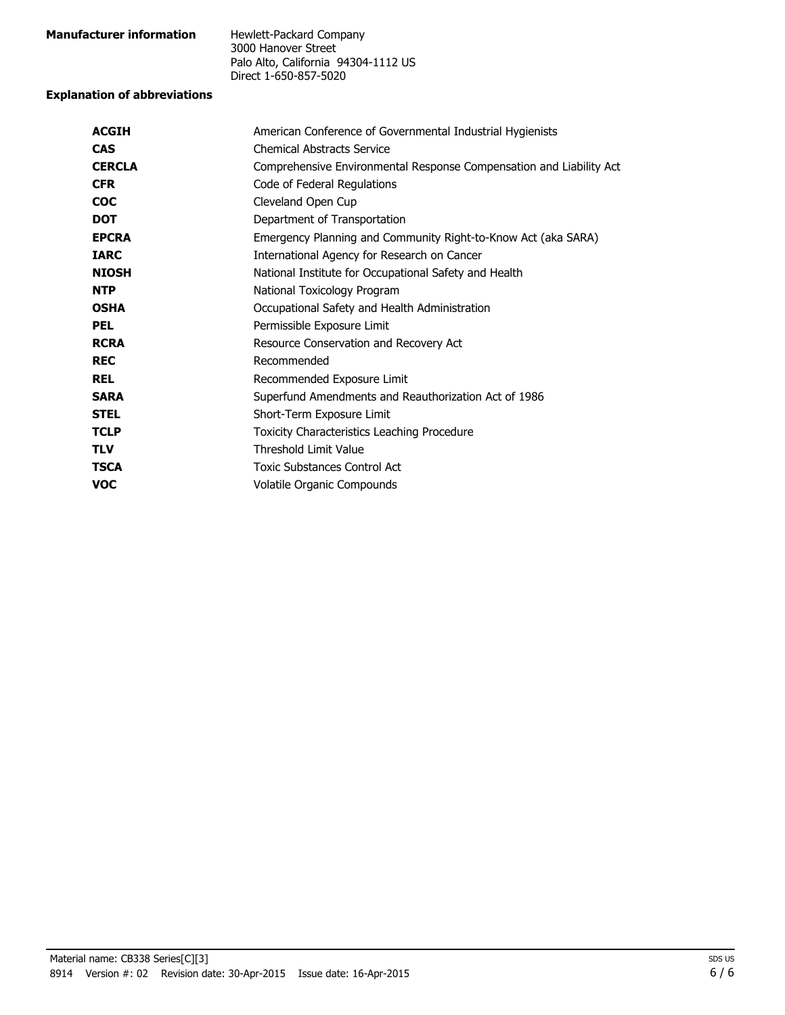| <b>Manufacturer information</b> | Hewlett-Packard Company             |
|---------------------------------|-------------------------------------|
|                                 | 3000 Hanover Street                 |
|                                 | Palo Alto, California 94304-1112 US |
|                                 | Direct 1-650-857-5020               |

#### **Explanation of abbreviations**

| <b>ACGIH</b>  | American Conference of Governmental Industrial Hygienists           |
|---------------|---------------------------------------------------------------------|
| <b>CAS</b>    | <b>Chemical Abstracts Service</b>                                   |
| <b>CERCLA</b> | Comprehensive Environmental Response Compensation and Liability Act |
| <b>CFR</b>    | Code of Federal Regulations                                         |
| <b>COC</b>    | Cleveland Open Cup                                                  |
| <b>DOT</b>    | Department of Transportation                                        |
| <b>EPCRA</b>  | Emergency Planning and Community Right-to-Know Act (aka SARA)       |
| <b>IARC</b>   | International Agency for Research on Cancer                         |
| <b>NIOSH</b>  | National Institute for Occupational Safety and Health               |
| <b>NTP</b>    | National Toxicology Program                                         |
| <b>OSHA</b>   | Occupational Safety and Health Administration                       |
| <b>PEL</b>    | Permissible Exposure Limit                                          |
| <b>RCRA</b>   | Resource Conservation and Recovery Act                              |
| <b>REC</b>    | Recommended                                                         |
| <b>REL</b>    | Recommended Exposure Limit                                          |
| <b>SARA</b>   | Superfund Amendments and Reauthorization Act of 1986                |
| <b>STEL</b>   | Short-Term Exposure Limit                                           |
| <b>TCLP</b>   | Toxicity Characteristics Leaching Procedure                         |
| <b>TLV</b>    | <b>Threshold Limit Value</b>                                        |
| <b>TSCA</b>   | <b>Toxic Substances Control Act</b>                                 |
| <b>VOC</b>    | Volatile Organic Compounds                                          |
|               |                                                                     |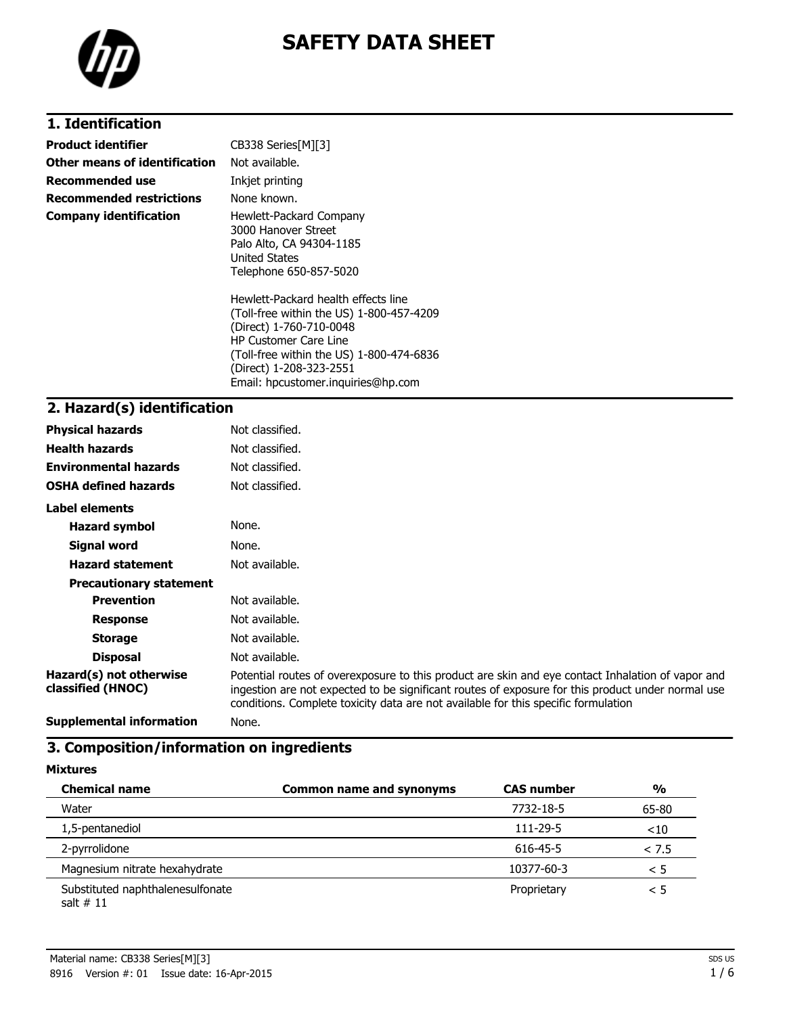



### **1. Identification**

| <b>Product identifier</b>       | CB338 Series[M][3]                                                                                                                                                                                                                                      |
|---------------------------------|---------------------------------------------------------------------------------------------------------------------------------------------------------------------------------------------------------------------------------------------------------|
| Other means of identification   | Not available.                                                                                                                                                                                                                                          |
| Recommended use                 | Inkjet printing                                                                                                                                                                                                                                         |
| <b>Recommended restrictions</b> | None known.                                                                                                                                                                                                                                             |
| <b>Company identification</b>   | Hewlett-Packard Company<br>3000 Hanover Street<br>Palo Alto, CA 94304-1185<br><b>United States</b><br>Telephone 650-857-5020                                                                                                                            |
|                                 | Hewlett-Packard health effects line<br>(Toll-free within the US) 1-800-457-4209<br>(Direct) 1-760-710-0048<br><b>HP Customer Care Line</b><br>(Toll-free within the US) 1-800-474-6836<br>(Direct) 1-208-323-2551<br>Email: hpcustomer.inguiries@hp.com |

#### **2. Hazard(s) identification**

| <b>Physical hazards</b>                          | Not classified.                                                                                                                                                                                                                                                                              |
|--------------------------------------------------|----------------------------------------------------------------------------------------------------------------------------------------------------------------------------------------------------------------------------------------------------------------------------------------------|
| <b>Health hazards</b>                            | Not classified.                                                                                                                                                                                                                                                                              |
| <b>Environmental hazards</b>                     | Not classified.                                                                                                                                                                                                                                                                              |
| <b>OSHA defined hazards</b>                      | Not classified.                                                                                                                                                                                                                                                                              |
| Label elements                                   |                                                                                                                                                                                                                                                                                              |
| <b>Hazard symbol</b>                             | None.                                                                                                                                                                                                                                                                                        |
| Signal word                                      | None.                                                                                                                                                                                                                                                                                        |
| <b>Hazard statement</b>                          | Not available.                                                                                                                                                                                                                                                                               |
| <b>Precautionary statement</b>                   |                                                                                                                                                                                                                                                                                              |
| <b>Prevention</b>                                | Not available.                                                                                                                                                                                                                                                                               |
| <b>Response</b>                                  | Not available.                                                                                                                                                                                                                                                                               |
| <b>Storage</b>                                   | Not available.                                                                                                                                                                                                                                                                               |
| <b>Disposal</b>                                  | Not available.                                                                                                                                                                                                                                                                               |
| Hazard(s) not otherwise<br>classified (HNOC)     | Potential routes of overexposure to this product are skin and eye contact Inhalation of vapor and<br>ingestion are not expected to be significant routes of exposure for this product under normal use<br>conditions. Complete toxicity data are not available for this specific formulation |
| According to the second the former of the second |                                                                                                                                                                                                                                                                                              |

**Supplemental information** None.

### **3. Composition/information on ingredients**

**Mixtures**

| <b>Chemical name</b>                            | <b>Common name and synonyms</b> | <b>CAS number</b> | $\frac{1}{2}$ |
|-------------------------------------------------|---------------------------------|-------------------|---------------|
| Water                                           |                                 | 7732-18-5         | 65-80         |
| 1,5-pentanediol                                 |                                 | 111-29-5          | ~10           |
| 2-pyrrolidone                                   |                                 | 616-45-5          | < 7.5         |
| Magnesium nitrate hexahydrate                   |                                 | 10377-60-3        | < 5           |
| Substituted naphthalenesulfonate<br>salt $# 11$ |                                 | Proprietary       | < 5           |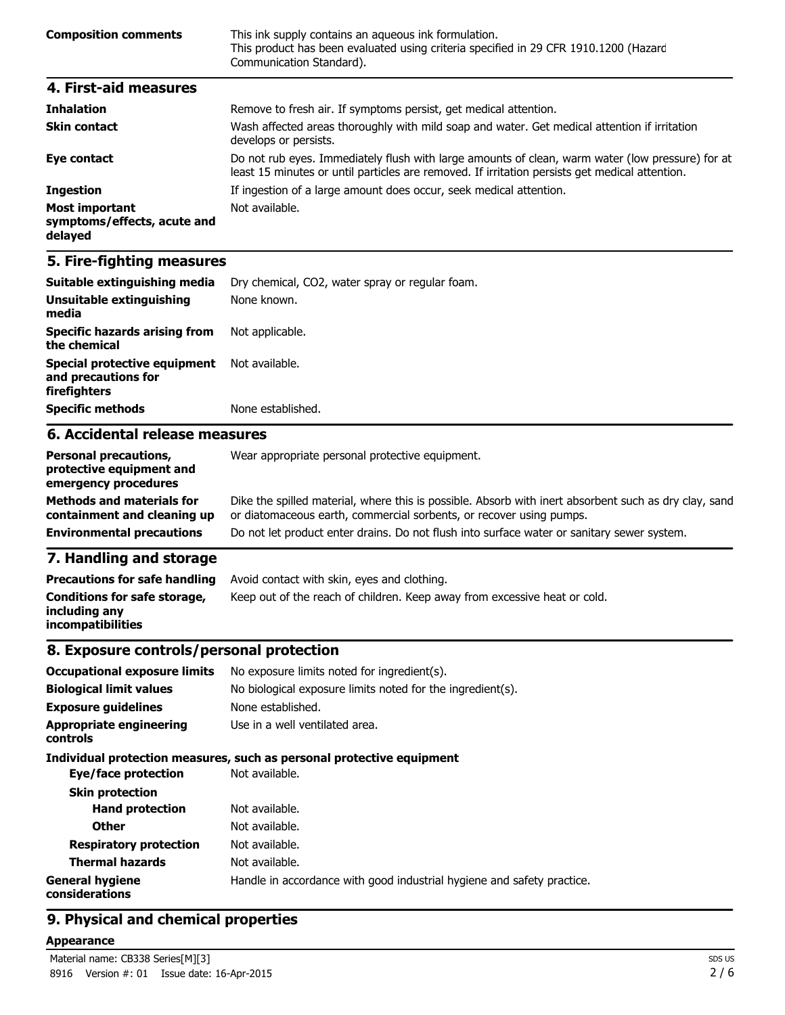| <b>Composition comments</b> | This ink supply contains an aqueous ink formulation.<br>This product has been evaluated using criteria specified in 29 CFR 1910.1200 (Hazard<br>Communication Standard). |
|-----------------------------|--------------------------------------------------------------------------------------------------------------------------------------------------------------------------|
| 4. First-aid measures       |                                                                                                                                                                          |

| <b>Inhalation</b>                                               | Remove to fresh air. If symptoms persist, get medical attention.                                                                                                                                   |
|-----------------------------------------------------------------|----------------------------------------------------------------------------------------------------------------------------------------------------------------------------------------------------|
| <b>Skin contact</b>                                             | Wash affected areas thoroughly with mild soap and water. Get medical attention if irritation<br>develops or persists.                                                                              |
| Eye contact                                                     | Do not rub eyes. Immediately flush with large amounts of clean, warm water (low pressure) for at<br>least 15 minutes or until particles are removed. If irritation persists get medical attention. |
| <b>Ingestion</b>                                                | If ingestion of a large amount does occur, seek medical attention.                                                                                                                                 |
| <b>Most important</b><br>symptoms/effects, acute and<br>delayed | Not available.                                                                                                                                                                                     |

### **5. Fire-fighting measures**

| Suitable extinguishing media                                        | Dry chemical, CO2, water spray or regular foam. |
|---------------------------------------------------------------------|-------------------------------------------------|
| Unsuitable extinguishing<br>media                                   | None known.                                     |
| <b>Specific hazards arising from</b><br>the chemical                | Not applicable.                                 |
| Special protective equipment<br>and precautions for<br>firefighters | Not available.                                  |
| <b>Specific methods</b>                                             | None established.                               |
| 6. Accidental release measures                                      |                                                 |
| <b>Personal precautions,</b>                                        | Wear appropriate personal protective equipment. |

| <b>Personal precautions,</b><br>protective equipment and<br>emergency procedures | Wear appropriate personal protective equipment.                                                                                                                              |
|----------------------------------------------------------------------------------|------------------------------------------------------------------------------------------------------------------------------------------------------------------------------|
| <b>Methods and materials for</b><br>containment and cleaning up                  | Dike the spilled material, where this is possible. Absorb with inert absorbent such as dry clay, sand<br>or diatomaceous earth, commercial sorbents, or recover using pumps. |
| <b>Environmental precautions</b>                                                 | Do not let product enter drains. Do not flush into surface water or sanitary sewer system.                                                                                   |
|                                                                                  |                                                                                                                                                                              |

#### **7. Handling and storage**

| <b>Precautions for safe handling</b>                                      | Avoid contact with skin, eyes and clothing.                               |
|---------------------------------------------------------------------------|---------------------------------------------------------------------------|
| Conditions for safe storage,<br>including anv<br><b>incompatibilities</b> | Keep out of the reach of children. Keep away from excessive heat or cold. |

#### **8. Exposure controls/personal protection**

| <b>Occupational exposure limits</b><br><b>Biological limit values</b> | No exposure limits noted for ingredient(s).<br>No biological exposure limits noted for the ingredient(s). |
|-----------------------------------------------------------------------|-----------------------------------------------------------------------------------------------------------|
|                                                                       |                                                                                                           |
| <b>Exposure quidelines</b>                                            | None established.                                                                                         |
| <b>Appropriate engineering</b><br><b>controls</b>                     | Use in a well ventilated area.                                                                            |
|                                                                       | Individual protection measures, such as personal protective equipment                                     |
| Eye/face protection                                                   | Not available.                                                                                            |
| <b>Skin protection</b>                                                |                                                                                                           |
| <b>Hand protection</b>                                                | Not available.                                                                                            |
| <b>Other</b>                                                          | Not available.                                                                                            |
| <b>Respiratory protection</b>                                         | Not available.                                                                                            |
| <b>Thermal hazards</b>                                                | Not available.                                                                                            |
| <b>General hygiene</b><br>considerations                              | Handle in accordance with good industrial hygiene and safety practice.                                    |
|                                                                       |                                                                                                           |

### **9. Physical and chemical properties**

#### **Appearance**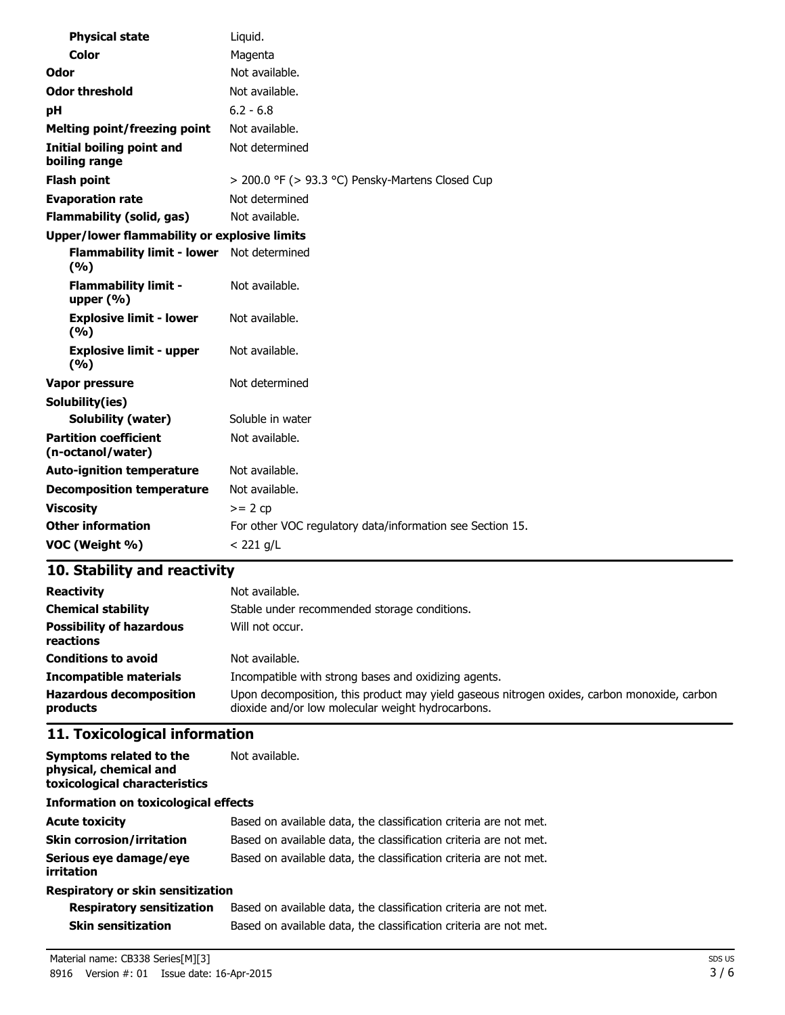| <b>Physical state</b>                               | Liquid.                                                   |  |
|-----------------------------------------------------|-----------------------------------------------------------|--|
| <b>Color</b>                                        | Magenta                                                   |  |
| Odor                                                | Not available.                                            |  |
| <b>Odor threshold</b>                               | Not available.                                            |  |
| рH                                                  | $6.2 - 6.8$                                               |  |
| <b>Melting point/freezing point</b>                 | Not available.                                            |  |
| <b>Initial boiling point and</b><br>boiling range   | Not determined                                            |  |
| <b>Flash point</b>                                  | $>$ 200.0 °F ( $>$ 93.3 °C) Pensky-Martens Closed Cup     |  |
| <b>Evaporation rate</b>                             | Not determined                                            |  |
| <b>Flammability (solid, gas)</b>                    | Not available.                                            |  |
| <b>Upper/lower flammability or explosive limits</b> |                                                           |  |
| Flammability limit - lower Not determined<br>(%)    |                                                           |  |
| <b>Flammability limit -</b><br>upper $(% )$         | Not available.                                            |  |
| <b>Explosive limit - lower</b><br>(%)               | Not available.                                            |  |
| <b>Explosive limit - upper</b><br>(9/6)             | Not available.                                            |  |
| <b>Vapor pressure</b>                               | Not determined                                            |  |
| Solubility(ies)                                     |                                                           |  |
| <b>Solubility (water)</b>                           | Soluble in water                                          |  |
| <b>Partition coefficient</b><br>(n-octanol/water)   | Not available.                                            |  |
| <b>Auto-ignition temperature</b>                    | Not available.                                            |  |
| <b>Decomposition temperature</b>                    | Not available.                                            |  |
| <b>Viscosity</b>                                    | $>= 2 cp$                                                 |  |
| <b>Other information</b>                            | For other VOC regulatory data/information see Section 15. |  |
| VOC (Weight %)                                      | $< 221$ g/L                                               |  |

## **10. Stability and reactivity**

| <b>Reactivity</b>                            | Not available.                                                                                                                                   |
|----------------------------------------------|--------------------------------------------------------------------------------------------------------------------------------------------------|
| <b>Chemical stability</b>                    | Stable under recommended storage conditions.                                                                                                     |
| <b>Possibility of hazardous</b><br>reactions | Will not occur.                                                                                                                                  |
| <b>Conditions to avoid</b>                   | Not available.                                                                                                                                   |
| <b>Incompatible materials</b>                | Incompatible with strong bases and oxidizing agents.                                                                                             |
| <b>Hazardous decomposition</b><br>products   | Upon decomposition, this product may yield gaseous nitrogen oxides, carbon monoxide, carbon<br>dioxide and/or low molecular weight hydrocarbons. |

## **11. Toxicological information**

| Symptoms related to the<br>physical, chemical and<br>toxicological characteristics | Not available.                                                    |  |
|------------------------------------------------------------------------------------|-------------------------------------------------------------------|--|
| <b>Information on toxicological effects</b>                                        |                                                                   |  |
| <b>Acute toxicity</b>                                                              | Based on available data, the classification criteria are not met. |  |
| <b>Skin corrosion/irritation</b>                                                   | Based on available data, the classification criteria are not met. |  |
| Serious eye damage/eye<br>irritation                                               | Based on available data, the classification criteria are not met. |  |
| <b>Respiratory or skin sensitization</b>                                           |                                                                   |  |

#### **Respiratory or skin sensitization**

| <b>Respiratory sensitization</b> | Based on available data, the classification criteria are not met. |
|----------------------------------|-------------------------------------------------------------------|
| <b>Skin sensitization</b>        | Based on available data, the classification criteria are not met. |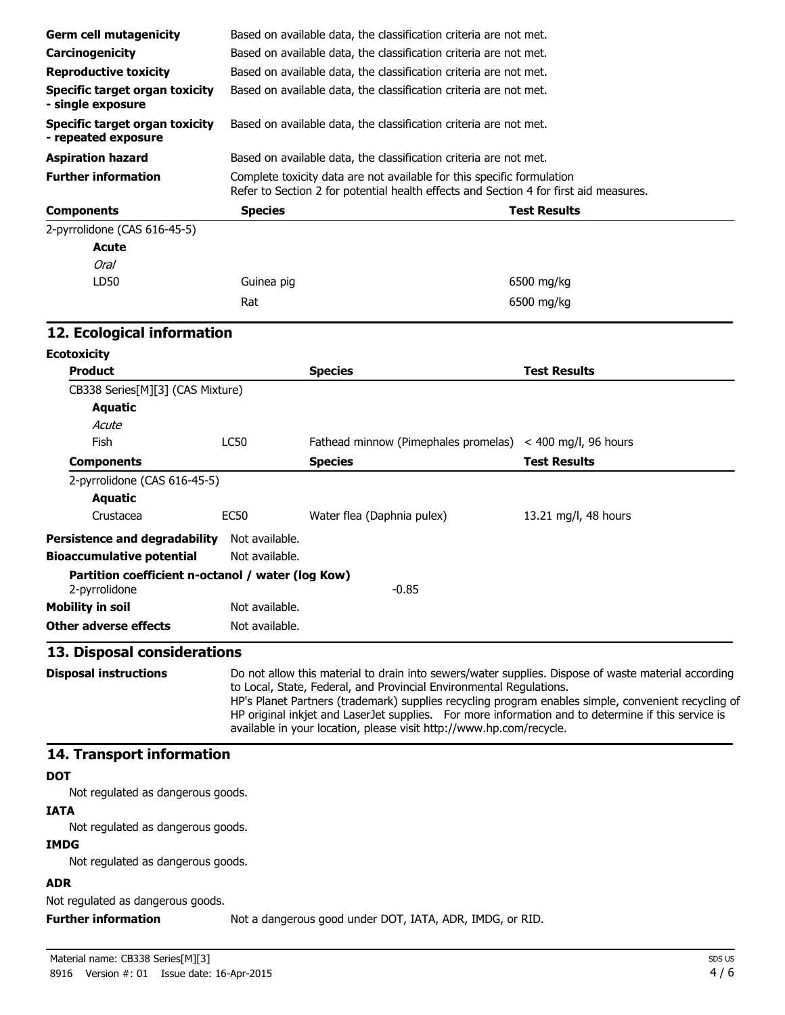| Complete toxicity data are not available for this specific formulation<br>Refer to Section 2 for potential health effects and Section 4 for first aid measures.                                                                                                                                                  |  |
|------------------------------------------------------------------------------------------------------------------------------------------------------------------------------------------------------------------------------------------------------------------------------------------------------------------|--|
|                                                                                                                                                                                                                                                                                                                  |  |
|                                                                                                                                                                                                                                                                                                                  |  |
|                                                                                                                                                                                                                                                                                                                  |  |
|                                                                                                                                                                                                                                                                                                                  |  |
|                                                                                                                                                                                                                                                                                                                  |  |
|                                                                                                                                                                                                                                                                                                                  |  |
|                                                                                                                                                                                                                                                                                                                  |  |
|                                                                                                                                                                                                                                                                                                                  |  |
|                                                                                                                                                                                                                                                                                                                  |  |
|                                                                                                                                                                                                                                                                                                                  |  |
|                                                                                                                                                                                                                                                                                                                  |  |
|                                                                                                                                                                                                                                                                                                                  |  |
|                                                                                                                                                                                                                                                                                                                  |  |
|                                                                                                                                                                                                                                                                                                                  |  |
|                                                                                                                                                                                                                                                                                                                  |  |
|                                                                                                                                                                                                                                                                                                                  |  |
|                                                                                                                                                                                                                                                                                                                  |  |
|                                                                                                                                                                                                                                                                                                                  |  |
|                                                                                                                                                                                                                                                                                                                  |  |
|                                                                                                                                                                                                                                                                                                                  |  |
|                                                                                                                                                                                                                                                                                                                  |  |
|                                                                                                                                                                                                                                                                                                                  |  |
|                                                                                                                                                                                                                                                                                                                  |  |
|                                                                                                                                                                                                                                                                                                                  |  |
|                                                                                                                                                                                                                                                                                                                  |  |
|                                                                                                                                                                                                                                                                                                                  |  |
| Do not allow this material to drain into sewers/water supplies. Dispose of waste material according<br>HP's Planet Partners (trademark) supplies recycling program enables simple, convenient recycling of<br>HP original inkjet and LaserJet supplies. For more information and to determine if this service is |  |
|                                                                                                                                                                                                                                                                                                                  |  |
|                                                                                                                                                                                                                                                                                                                  |  |
|                                                                                                                                                                                                                                                                                                                  |  |
|                                                                                                                                                                                                                                                                                                                  |  |
|                                                                                                                                                                                                                                                                                                                  |  |
|                                                                                                                                                                                                                                                                                                                  |  |
|                                                                                                                                                                                                                                                                                                                  |  |
|                                                                                                                                                                                                                                                                                                                  |  |

Not regulated as dangerous goods.

**Further information** Not a dangerous good under DOT, IATA, ADR, IMDG, or RID.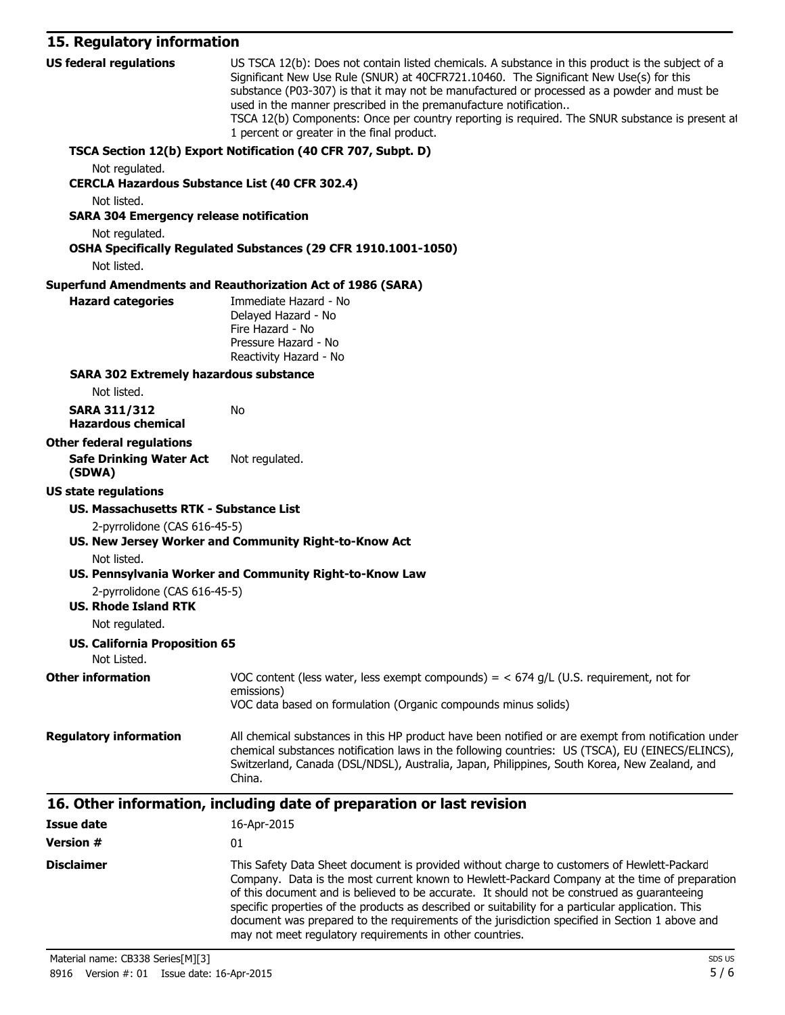## **15. Regulatory information**

| <b>US federal regulations</b>                               | US TSCA 12(b): Does not contain listed chemicals. A substance in this product is the subject of a<br>Significant New Use Rule (SNUR) at 40CFR721.10460. The Significant New Use(s) for this<br>substance (P03-307) is that it may not be manufactured or processed as a powder and must be<br>used in the manner prescribed in the premanufacture notification<br>TSCA 12(b) Components: Once per country reporting is required. The SNUR substance is present at<br>1 percent or greater in the final product.                                                |
|-------------------------------------------------------------|----------------------------------------------------------------------------------------------------------------------------------------------------------------------------------------------------------------------------------------------------------------------------------------------------------------------------------------------------------------------------------------------------------------------------------------------------------------------------------------------------------------------------------------------------------------|
| Not regulated.                                              | TSCA Section 12(b) Export Notification (40 CFR 707, Subpt. D)                                                                                                                                                                                                                                                                                                                                                                                                                                                                                                  |
| <b>CERCLA Hazardous Substance List (40 CFR 302.4)</b>       |                                                                                                                                                                                                                                                                                                                                                                                                                                                                                                                                                                |
| Not listed.                                                 |                                                                                                                                                                                                                                                                                                                                                                                                                                                                                                                                                                |
| <b>SARA 304 Emergency release notification</b>              |                                                                                                                                                                                                                                                                                                                                                                                                                                                                                                                                                                |
| Not regulated.                                              | OSHA Specifically Regulated Substances (29 CFR 1910.1001-1050)                                                                                                                                                                                                                                                                                                                                                                                                                                                                                                 |
| Not listed.                                                 |                                                                                                                                                                                                                                                                                                                                                                                                                                                                                                                                                                |
| <b>Hazard categories</b>                                    | <b>Superfund Amendments and Reauthorization Act of 1986 (SARA)</b><br>Immediate Hazard - No                                                                                                                                                                                                                                                                                                                                                                                                                                                                    |
|                                                             | Delayed Hazard - No                                                                                                                                                                                                                                                                                                                                                                                                                                                                                                                                            |
|                                                             | Fire Hazard - No                                                                                                                                                                                                                                                                                                                                                                                                                                                                                                                                               |
|                                                             | Pressure Hazard - No<br>Reactivity Hazard - No                                                                                                                                                                                                                                                                                                                                                                                                                                                                                                                 |
| <b>SARA 302 Extremely hazardous substance</b>               |                                                                                                                                                                                                                                                                                                                                                                                                                                                                                                                                                                |
| Not listed.                                                 |                                                                                                                                                                                                                                                                                                                                                                                                                                                                                                                                                                |
| <b>SARA 311/312</b>                                         | No                                                                                                                                                                                                                                                                                                                                                                                                                                                                                                                                                             |
| <b>Hazardous chemical</b>                                   |                                                                                                                                                                                                                                                                                                                                                                                                                                                                                                                                                                |
| <b>Other federal regulations</b>                            |                                                                                                                                                                                                                                                                                                                                                                                                                                                                                                                                                                |
| <b>Safe Drinking Water Act</b><br>(SDWA)                    | Not regulated.                                                                                                                                                                                                                                                                                                                                                                                                                                                                                                                                                 |
| <b>US state regulations</b>                                 |                                                                                                                                                                                                                                                                                                                                                                                                                                                                                                                                                                |
| <b>US. Massachusetts RTK - Substance List</b>               |                                                                                                                                                                                                                                                                                                                                                                                                                                                                                                                                                                |
| 2-pyrrolidone (CAS 616-45-5)                                |                                                                                                                                                                                                                                                                                                                                                                                                                                                                                                                                                                |
|                                                             | US. New Jersey Worker and Community Right-to-Know Act                                                                                                                                                                                                                                                                                                                                                                                                                                                                                                          |
| Not listed.                                                 |                                                                                                                                                                                                                                                                                                                                                                                                                                                                                                                                                                |
|                                                             | US. Pennsylvania Worker and Community Right-to-Know Law                                                                                                                                                                                                                                                                                                                                                                                                                                                                                                        |
| 2-pyrrolidone (CAS 616-45-5)<br><b>US. Rhode Island RTK</b> |                                                                                                                                                                                                                                                                                                                                                                                                                                                                                                                                                                |
| Not regulated.                                              |                                                                                                                                                                                                                                                                                                                                                                                                                                                                                                                                                                |
| <b>US. California Proposition 65</b>                        |                                                                                                                                                                                                                                                                                                                                                                                                                                                                                                                                                                |
| Not Listed.                                                 |                                                                                                                                                                                                                                                                                                                                                                                                                                                                                                                                                                |
| <b>Other information</b>                                    | VOC content (less water, less exempt compounds) = $<$ 674 g/L (U.S. requirement, not for<br>emissions)                                                                                                                                                                                                                                                                                                                                                                                                                                                         |
|                                                             | VOC data based on formulation (Organic compounds minus solids)                                                                                                                                                                                                                                                                                                                                                                                                                                                                                                 |
| <b>Regulatory information</b>                               | All chemical substances in this HP product have been notified or are exempt from notification under<br>chemical substances notification laws in the following countries: US (TSCA), EU (EINECS/ELINCS),<br>Switzerland, Canada (DSL/NDSL), Australia, Japan, Philippines, South Korea, New Zealand, and<br>China.                                                                                                                                                                                                                                              |
|                                                             |                                                                                                                                                                                                                                                                                                                                                                                                                                                                                                                                                                |
|                                                             | 16. Other information, including date of preparation or last revision                                                                                                                                                                                                                                                                                                                                                                                                                                                                                          |
| <b>Issue date</b>                                           | 16-Apr-2015                                                                                                                                                                                                                                                                                                                                                                                                                                                                                                                                                    |
| <b>Version #</b>                                            | 01                                                                                                                                                                                                                                                                                                                                                                                                                                                                                                                                                             |
| <b>Disclaimer</b>                                           | This Safety Data Sheet document is provided without charge to customers of Hewlett-Packard<br>Company. Data is the most current known to Hewlett-Packard Company at the time of preparation<br>of this document and is believed to be accurate. It should not be construed as guaranteeing<br>specific properties of the products as described or suitability for a particular application. This<br>document was prepared to the requirements of the jurisdiction specified in Section 1 above and<br>may not meet regulatory requirements in other countries. |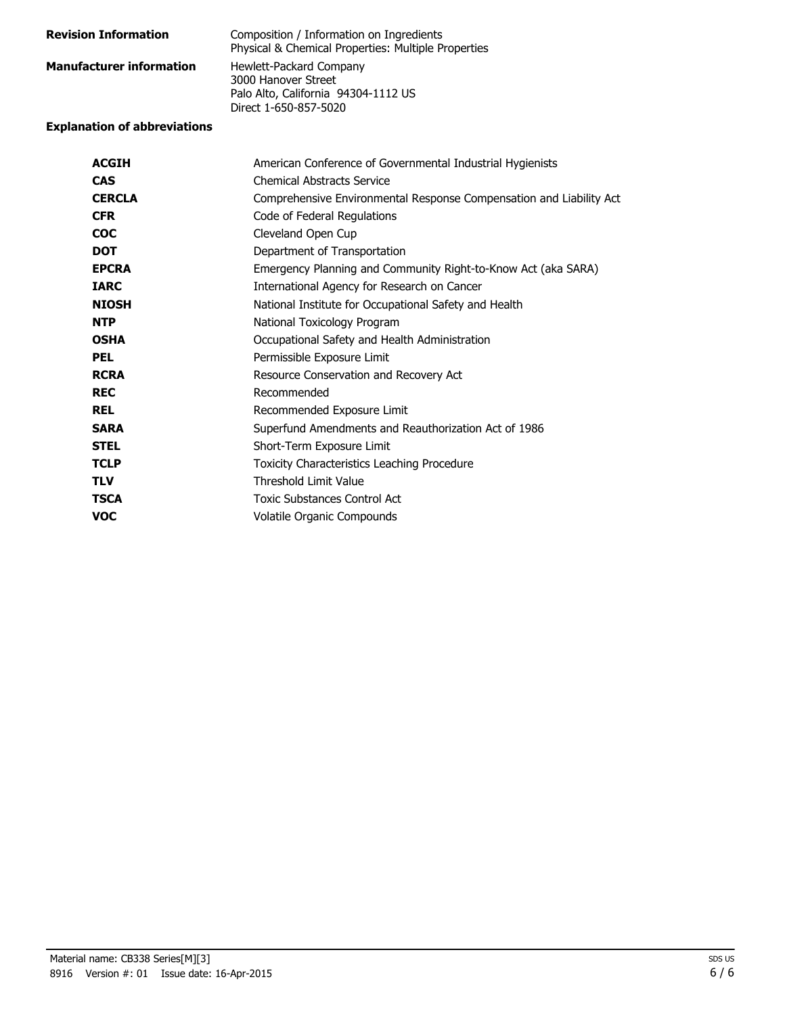| <b>Revision Information</b>     | Composition / Information on Ingredients<br>Physical & Chemical Properties: Multiple Properties                |
|---------------------------------|----------------------------------------------------------------------------------------------------------------|
| <b>Manufacturer information</b> | Hewlett-Packard Company<br>3000 Hanover Street<br>Palo Alto, California 94304-1112 US<br>Direct 1-650-857-5020 |

#### **Explanation of abbreviations**

| <b>ACGIH</b>  | American Conference of Governmental Industrial Hygienists           |
|---------------|---------------------------------------------------------------------|
| <b>CAS</b>    | <b>Chemical Abstracts Service</b>                                   |
| <b>CERCLA</b> | Comprehensive Environmental Response Compensation and Liability Act |
| <b>CFR</b>    | Code of Federal Regulations                                         |
| <b>COC</b>    | Cleveland Open Cup                                                  |
| <b>DOT</b>    | Department of Transportation                                        |
| <b>EPCRA</b>  | Emergency Planning and Community Right-to-Know Act (aka SARA)       |
| <b>TARC</b>   | International Agency for Research on Cancer                         |
| <b>NIOSH</b>  | National Institute for Occupational Safety and Health               |
| <b>NTP</b>    | National Toxicology Program                                         |
| <b>OSHA</b>   | Occupational Safety and Health Administration                       |
| <b>PEL</b>    | Permissible Exposure Limit                                          |
| <b>RCRA</b>   | Resource Conservation and Recovery Act                              |
| <b>REC</b>    | Recommended                                                         |
| <b>REL</b>    | Recommended Exposure Limit                                          |
| <b>SARA</b>   | Superfund Amendments and Reauthorization Act of 1986                |
| <b>STEL</b>   | Short-Term Exposure Limit                                           |
| <b>TCLP</b>   | Toxicity Characteristics Leaching Procedure                         |
| <b>TLV</b>    | <b>Threshold Limit Value</b>                                        |
| <b>TSCA</b>   | <b>Toxic Substances Control Act</b>                                 |
| <b>VOC</b>    | Volatile Organic Compounds                                          |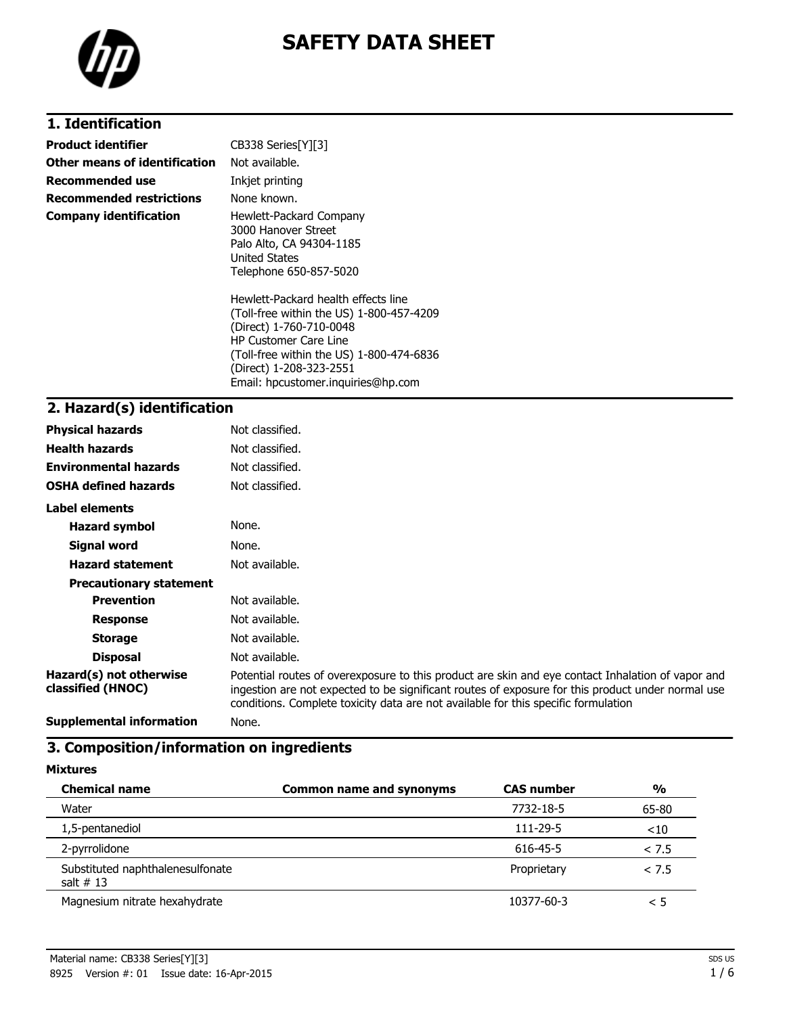



# **1. Identification**

| Product identifier            | CB338 Series[Y][3]                                                                                                                                                                                                                                      |
|-------------------------------|---------------------------------------------------------------------------------------------------------------------------------------------------------------------------------------------------------------------------------------------------------|
| Other means of identification | Not available.                                                                                                                                                                                                                                          |
| Recommended use               | Inkjet printing                                                                                                                                                                                                                                         |
| Recommended restrictions      | None known.                                                                                                                                                                                                                                             |
| Company identification        | Hewlett-Packard Company<br>3000 Hanover Street<br>Palo Alto, CA 94304-1185<br>United States<br>Telephone 650-857-5020                                                                                                                                   |
|                               | Hewlett-Packard health effects line<br>(Toll-free within the US) 1-800-457-4209<br>(Direct) 1-760-710-0048<br><b>HP Customer Care Line</b><br>(Toll-free within the US) 1-800-474-6836<br>(Direct) 1-208-323-2551<br>Email: hpcustomer.inguiries@hp.com |
| 7   Hazard(c) identification  |                                                                                                                                                                                                                                                         |

# **2. Hazard(s) identification**

| <b>Physical hazards</b>                      | Not classified.                                                                                                                                                                                                                                                                              |
|----------------------------------------------|----------------------------------------------------------------------------------------------------------------------------------------------------------------------------------------------------------------------------------------------------------------------------------------------|
| <b>Health hazards</b>                        | Not classified.                                                                                                                                                                                                                                                                              |
| <b>Environmental hazards</b>                 | Not classified.                                                                                                                                                                                                                                                                              |
| <b>OSHA defined hazards</b>                  | Not classified.                                                                                                                                                                                                                                                                              |
| <b>Label elements</b>                        |                                                                                                                                                                                                                                                                                              |
| <b>Hazard symbol</b>                         | None.                                                                                                                                                                                                                                                                                        |
| Signal word                                  | None.                                                                                                                                                                                                                                                                                        |
| <b>Hazard statement</b>                      | Not available.                                                                                                                                                                                                                                                                               |
| <b>Precautionary statement</b>               |                                                                                                                                                                                                                                                                                              |
| <b>Prevention</b>                            | Not available.                                                                                                                                                                                                                                                                               |
| <b>Response</b>                              | Not available.                                                                                                                                                                                                                                                                               |
| <b>Storage</b>                               | Not available.                                                                                                                                                                                                                                                                               |
| <b>Disposal</b>                              | Not available.                                                                                                                                                                                                                                                                               |
| Hazard(s) not otherwise<br>classified (HNOC) | Potential routes of overexposure to this product are skin and eye contact Inhalation of vapor and<br>ingestion are not expected to be significant routes of exposure for this product under normal use<br>conditions. Complete toxicity data are not available for this specific formulation |
| <b>Supplemental information</b>              | None.                                                                                                                                                                                                                                                                                        |

## **3. Composition/information on ingredients**

| <b>Chemical name</b>                            | <b>Common name and synonyms</b> | <b>CAS number</b> | %      |
|-------------------------------------------------|---------------------------------|-------------------|--------|
| Water                                           |                                 | 7732-18-5         | 65-80  |
| 1,5-pentanediol                                 |                                 | 111-29-5          | $<$ 10 |
| 2-pyrrolidone                                   |                                 | 616-45-5          | < 7.5  |
| Substituted naphthalenesulfonate<br>salt $# 13$ |                                 | Proprietary       | < 7.5  |
| Magnesium nitrate hexahydrate                   |                                 | 10377-60-3        | < 5    |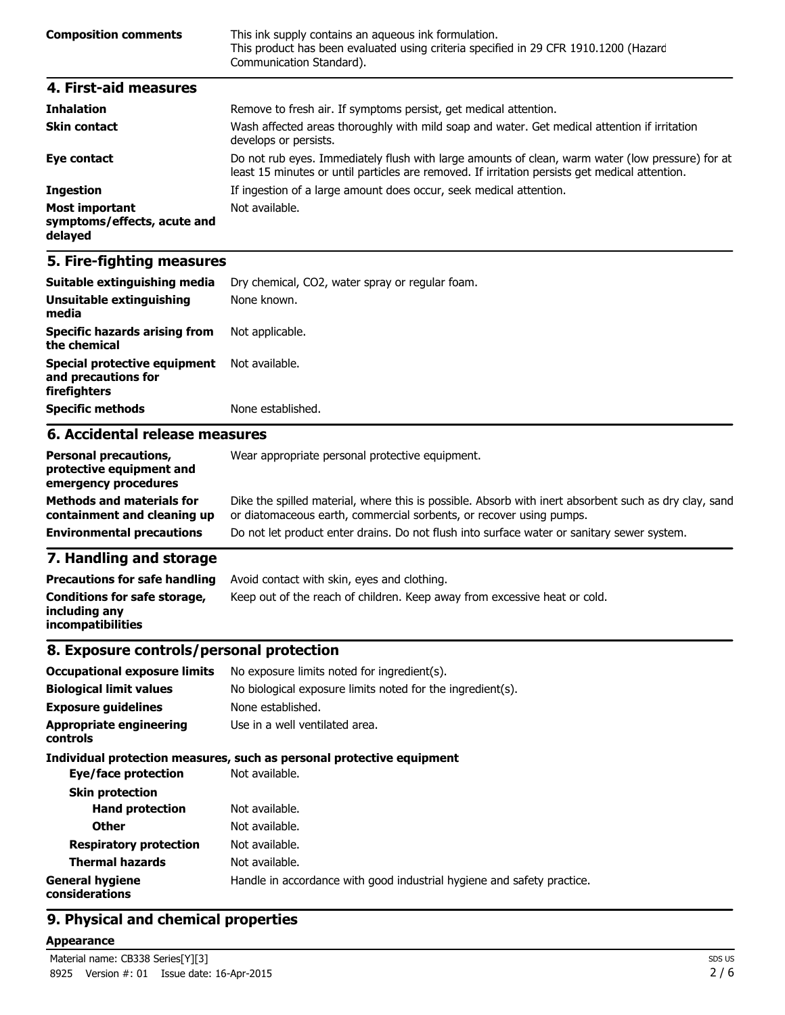| <b>Composition comments</b> | This ink supply contains an aqueous ink formulation.<br>This product has been evaluated using criteria specified in 29 CFR 1910.1200 (Hazard<br>Communication Standard). |
|-----------------------------|--------------------------------------------------------------------------------------------------------------------------------------------------------------------------|
| 4. First-aid measures       |                                                                                                                                                                          |

| <b>Inhalation</b>                                               | Remove to fresh air. If symptoms persist, get medical attention.                                                                                                                                   |
|-----------------------------------------------------------------|----------------------------------------------------------------------------------------------------------------------------------------------------------------------------------------------------|
| <b>Skin contact</b>                                             | Wash affected areas thoroughly with mild soap and water. Get medical attention if irritation<br>develops or persists.                                                                              |
| Eye contact                                                     | Do not rub eyes. Immediately flush with large amounts of clean, warm water (low pressure) for at<br>least 15 minutes or until particles are removed. If irritation persists get medical attention. |
| <b>Ingestion</b>                                                | If ingestion of a large amount does occur, seek medical attention.                                                                                                                                 |
| <b>Most important</b><br>symptoms/effects, acute and<br>delayed | Not available.                                                                                                                                                                                     |

### **5. Fire-fighting measures**

| Suitable extinguishing media                                               | Dry chemical, CO2, water spray or regular foam. |
|----------------------------------------------------------------------------|-------------------------------------------------|
| Unsuitable extinguishing<br>media                                          | None known.                                     |
| Specific hazards arising from<br>the chemical                              | Not applicable.                                 |
| <b>Special protective equipment</b><br>and precautions for<br>firefighters | Not available.                                  |
| <b>Specific methods</b>                                                    | None established.                               |
| 6. Accidental release measures                                             |                                                 |
| <b>Personal precautions,</b>                                               | Wear appropriate personal protective equipment. |

| <b>Personal precautions,</b><br>protective equipment and<br>emergency procedures | Wear appropriate personal protective equipment.                                                                                                                              |
|----------------------------------------------------------------------------------|------------------------------------------------------------------------------------------------------------------------------------------------------------------------------|
| <b>Methods and materials for</b><br>containment and cleaning up                  | Dike the spilled material, where this is possible. Absorb with inert absorbent such as dry clay, sand<br>or diatomaceous earth, commercial sorbents, or recover using pumps. |
| <b>Environmental precautions</b>                                                 | Do not let product enter drains. Do not flush into surface water or sanitary sewer system.                                                                                   |
|                                                                                  |                                                                                                                                                                              |

#### **7. Handling and storage**

| <b>Precautions for safe handling</b>                                      | Avoid contact with skin, eyes and clothing.                               |
|---------------------------------------------------------------------------|---------------------------------------------------------------------------|
| Conditions for safe storage,<br>including anv<br><b>incompatibilities</b> | Keep out of the reach of children. Keep away from excessive heat or cold. |

#### **8. Exposure controls/personal protection**

| <b>Occupational exposure limits</b><br><b>Biological limit values</b> | No exposure limits noted for ingredient(s).<br>No biological exposure limits noted for the ingredient(s). |
|-----------------------------------------------------------------------|-----------------------------------------------------------------------------------------------------------|
|                                                                       |                                                                                                           |
| <b>Exposure quidelines</b>                                            | None established.                                                                                         |
| <b>Appropriate engineering</b><br><b>controls</b>                     | Use in a well ventilated area.                                                                            |
|                                                                       | Individual protection measures, such as personal protective equipment                                     |
| Eye/face protection                                                   | Not available.                                                                                            |
| <b>Skin protection</b>                                                |                                                                                                           |
| <b>Hand protection</b>                                                | Not available.                                                                                            |
| <b>Other</b>                                                          | Not available.                                                                                            |
| <b>Respiratory protection</b>                                         | Not available.                                                                                            |
| <b>Thermal hazards</b>                                                | Not available.                                                                                            |
| <b>General hygiene</b><br>considerations                              | Handle in accordance with good industrial hygiene and safety practice.                                    |
|                                                                       |                                                                                                           |

### **9. Physical and chemical properties**

#### **Appearance**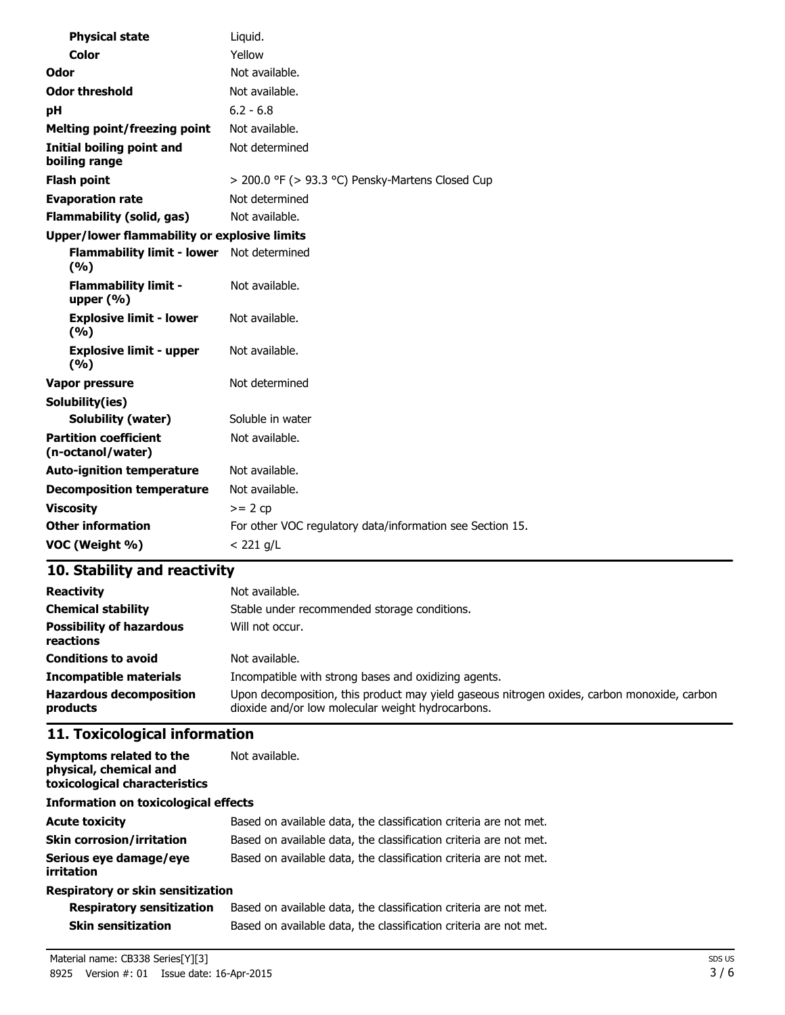| <b>Physical state</b>                               | Liquid.                                                   |
|-----------------------------------------------------|-----------------------------------------------------------|
| <b>Color</b>                                        | Yellow                                                    |
| Odor                                                | Not available.                                            |
| <b>Odor threshold</b>                               | Not available.                                            |
| рH                                                  | $6.2 - 6.8$                                               |
| <b>Melting point/freezing point</b>                 | Not available.                                            |
| Initial boiling point and<br>boiling range          | Not determined                                            |
| <b>Flash point</b>                                  | $>$ 200.0 °F ( $>$ 93.3 °C) Pensky-Martens Closed Cup     |
| <b>Evaporation rate</b>                             | Not determined                                            |
| <b>Flammability (solid, gas)</b>                    | Not available.                                            |
| <b>Upper/lower flammability or explosive limits</b> |                                                           |
| <b>Flammability limit - lower</b><br>(%)            | Not determined                                            |
| <b>Flammability limit -</b><br>upper $(% )$         | Not available.                                            |
| <b>Explosive limit - lower</b><br>(%)               | Not available.                                            |
| <b>Explosive limit - upper</b><br>(9/6)             | Not available.                                            |
| <b>Vapor pressure</b>                               | Not determined                                            |
| Solubility(ies)                                     |                                                           |
| <b>Solubility (water)</b>                           | Soluble in water                                          |
| <b>Partition coefficient</b><br>(n-octanol/water)   | Not available.                                            |
| <b>Auto-ignition temperature</b>                    | Not available.                                            |
| <b>Decomposition temperature</b>                    | Not available.                                            |
| <b>Viscosity</b>                                    | $>= 2 cp$                                                 |
| <b>Other information</b>                            | For other VOC regulatory data/information see Section 15. |
| VOC (Weight %)                                      | $< 221$ g/L                                               |

## **10. Stability and reactivity**

| <b>Reactivity</b>                            | Not available.                                                                                                                                   |
|----------------------------------------------|--------------------------------------------------------------------------------------------------------------------------------------------------|
| <b>Chemical stability</b>                    | Stable under recommended storage conditions.                                                                                                     |
| <b>Possibility of hazardous</b><br>reactions | Will not occur.                                                                                                                                  |
| <b>Conditions to avoid</b>                   | Not available.                                                                                                                                   |
| <b>Incompatible materials</b>                | Incompatible with strong bases and oxidizing agents.                                                                                             |
| <b>Hazardous decomposition</b><br>products   | Upon decomposition, this product may yield gaseous nitrogen oxides, carbon monoxide, carbon<br>dioxide and/or low molecular weight hydrocarbons. |

## **11. Toxicological information**

| Symptoms related to the<br>physical, chemical and<br>toxicological characteristics | Not available.                                                    |  |
|------------------------------------------------------------------------------------|-------------------------------------------------------------------|--|
| <b>Information on toxicological effects</b>                                        |                                                                   |  |
| <b>Acute toxicity</b>                                                              | Based on available data, the classification criteria are not met. |  |
| <b>Skin corrosion/irritation</b>                                                   | Based on available data, the classification criteria are not met. |  |
| Serious eye damage/eye<br><i>irritation</i>                                        | Based on available data, the classification criteria are not met. |  |
| <b>Respiratory or skin sensitization</b>                                           |                                                                   |  |

|  |  |  | <b>Respiratory or skin sensitization</b> |  |
|--|--|--|------------------------------------------|--|
|  |  |  |                                          |  |

| <b>Respiratory sensitization</b> | Based on available data, the classification criteria are not met. |
|----------------------------------|-------------------------------------------------------------------|
| <b>Skin sensitization</b>        | Based on available data, the classification criteria are not met. |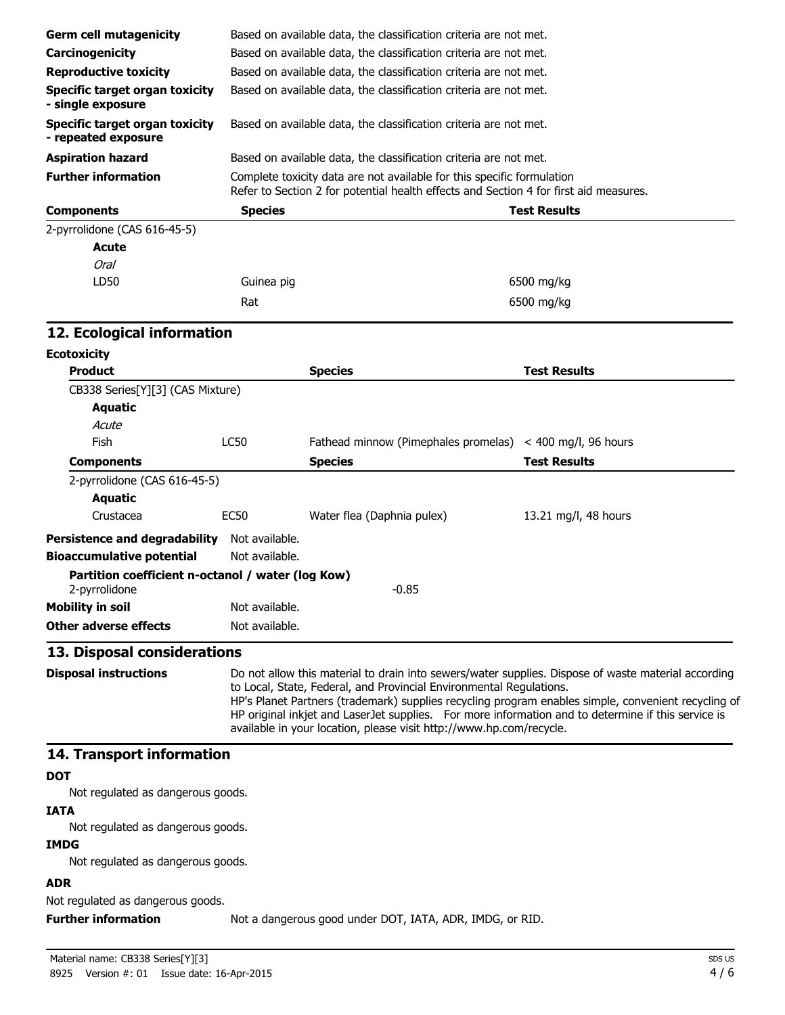| <b>Germ cell mutagenicity</b>                                | Based on available data, the classification criteria are not met.                                                                                                                                                                                                                                                                                                                                                                                              |                                                                   |                      |  |  |
|--------------------------------------------------------------|----------------------------------------------------------------------------------------------------------------------------------------------------------------------------------------------------------------------------------------------------------------------------------------------------------------------------------------------------------------------------------------------------------------------------------------------------------------|-------------------------------------------------------------------|----------------------|--|--|
| Carcinogenicity                                              |                                                                                                                                                                                                                                                                                                                                                                                                                                                                | Based on available data, the classification criteria are not met. |                      |  |  |
| <b>Reproductive toxicity</b>                                 | Based on available data, the classification criteria are not met.                                                                                                                                                                                                                                                                                                                                                                                              |                                                                   |                      |  |  |
| <b>Specific target organ toxicity</b><br>- single exposure   | Based on available data, the classification criteria are not met.                                                                                                                                                                                                                                                                                                                                                                                              |                                                                   |                      |  |  |
| <b>Specific target organ toxicity</b><br>- repeated exposure | Based on available data, the classification criteria are not met.                                                                                                                                                                                                                                                                                                                                                                                              |                                                                   |                      |  |  |
| <b>Aspiration hazard</b>                                     |                                                                                                                                                                                                                                                                                                                                                                                                                                                                | Based on available data, the classification criteria are not met. |                      |  |  |
| <b>Further information</b>                                   | Complete toxicity data are not available for this specific formulation<br>Refer to Section 2 for potential health effects and Section 4 for first aid measures.                                                                                                                                                                                                                                                                                                |                                                                   |                      |  |  |
| <b>Components</b>                                            | <b>Species</b>                                                                                                                                                                                                                                                                                                                                                                                                                                                 |                                                                   | <b>Test Results</b>  |  |  |
| 2-pyrrolidone (CAS 616-45-5)                                 |                                                                                                                                                                                                                                                                                                                                                                                                                                                                |                                                                   |                      |  |  |
| <b>Acute</b>                                                 |                                                                                                                                                                                                                                                                                                                                                                                                                                                                |                                                                   |                      |  |  |
| <b>Oral</b>                                                  |                                                                                                                                                                                                                                                                                                                                                                                                                                                                |                                                                   |                      |  |  |
| LD50                                                         | Guinea pig                                                                                                                                                                                                                                                                                                                                                                                                                                                     |                                                                   | 6500 mg/kg           |  |  |
|                                                              | Rat                                                                                                                                                                                                                                                                                                                                                                                                                                                            |                                                                   | 6500 mg/kg           |  |  |
| 12. Ecological information                                   |                                                                                                                                                                                                                                                                                                                                                                                                                                                                |                                                                   |                      |  |  |
| <b>Ecotoxicity</b>                                           |                                                                                                                                                                                                                                                                                                                                                                                                                                                                |                                                                   |                      |  |  |
| <b>Product</b>                                               |                                                                                                                                                                                                                                                                                                                                                                                                                                                                | <b>Species</b>                                                    | <b>Test Results</b>  |  |  |
| CB338 Series[Y][3] (CAS Mixture)                             |                                                                                                                                                                                                                                                                                                                                                                                                                                                                |                                                                   |                      |  |  |
| <b>Aquatic</b>                                               |                                                                                                                                                                                                                                                                                                                                                                                                                                                                |                                                                   |                      |  |  |
| Acute                                                        |                                                                                                                                                                                                                                                                                                                                                                                                                                                                |                                                                   |                      |  |  |
| <b>Fish</b>                                                  | <b>LC50</b>                                                                                                                                                                                                                                                                                                                                                                                                                                                    | Fathead minnow (Pimephales promelas) < 400 mg/l, 96 hours         |                      |  |  |
| <b>Components</b>                                            |                                                                                                                                                                                                                                                                                                                                                                                                                                                                | <b>Species</b>                                                    | <b>Test Results</b>  |  |  |
| 2-pyrrolidone (CAS 616-45-5)                                 |                                                                                                                                                                                                                                                                                                                                                                                                                                                                |                                                                   |                      |  |  |
| <b>Aquatic</b>                                               |                                                                                                                                                                                                                                                                                                                                                                                                                                                                |                                                                   |                      |  |  |
| Crustacea                                                    | <b>EC50</b>                                                                                                                                                                                                                                                                                                                                                                                                                                                    | Water flea (Daphnia pulex)                                        | 13.21 mg/l, 48 hours |  |  |
| Persistence and degradability                                | Not available.                                                                                                                                                                                                                                                                                                                                                                                                                                                 |                                                                   |                      |  |  |
| <b>Bioaccumulative potential</b>                             | Not available.                                                                                                                                                                                                                                                                                                                                                                                                                                                 |                                                                   |                      |  |  |
| Partition coefficient n-octanol / water (log Kow)            |                                                                                                                                                                                                                                                                                                                                                                                                                                                                |                                                                   |                      |  |  |
| 2-pyrrolidone                                                |                                                                                                                                                                                                                                                                                                                                                                                                                                                                | $-0.85$                                                           |                      |  |  |
| <b>Mobility in soil</b>                                      | Not available.                                                                                                                                                                                                                                                                                                                                                                                                                                                 |                                                                   |                      |  |  |
| <b>Other adverse effects</b>                                 | Not available.                                                                                                                                                                                                                                                                                                                                                                                                                                                 |                                                                   |                      |  |  |
| 13. Disposal considerations                                  |                                                                                                                                                                                                                                                                                                                                                                                                                                                                |                                                                   |                      |  |  |
| <b>Disposal instructions</b>                                 | Do not allow this material to drain into sewers/water supplies. Dispose of waste material according<br>to Local, State, Federal, and Provincial Environmental Regulations.<br>HP's Planet Partners (trademark) supplies recycling program enables simple, convenient recycling of<br>HP original inkjet and LaserJet supplies. For more information and to determine if this service is<br>available in your location, please visit http://www.hp.com/recycle. |                                                                   |                      |  |  |
| 14. Transport information                                    |                                                                                                                                                                                                                                                                                                                                                                                                                                                                |                                                                   |                      |  |  |
| <b>DOT</b>                                                   |                                                                                                                                                                                                                                                                                                                                                                                                                                                                |                                                                   |                      |  |  |
| Not regulated as dangerous goods.                            |                                                                                                                                                                                                                                                                                                                                                                                                                                                                |                                                                   |                      |  |  |
| <b>IATA</b>                                                  |                                                                                                                                                                                                                                                                                                                                                                                                                                                                |                                                                   |                      |  |  |
| Not regulated as dangerous goods.                            |                                                                                                                                                                                                                                                                                                                                                                                                                                                                |                                                                   |                      |  |  |
| <b>IMDG</b>                                                  |                                                                                                                                                                                                                                                                                                                                                                                                                                                                |                                                                   |                      |  |  |
| Not regulated as dangerous goods.                            |                                                                                                                                                                                                                                                                                                                                                                                                                                                                |                                                                   |                      |  |  |
| <b>ADR</b>                                                   |                                                                                                                                                                                                                                                                                                                                                                                                                                                                |                                                                   |                      |  |  |
|                                                              |                                                                                                                                                                                                                                                                                                                                                                                                                                                                |                                                                   |                      |  |  |

Not regulated as dangerous goods.

**Further information** Not a dangerous good under DOT, IATA, ADR, IMDG, or RID.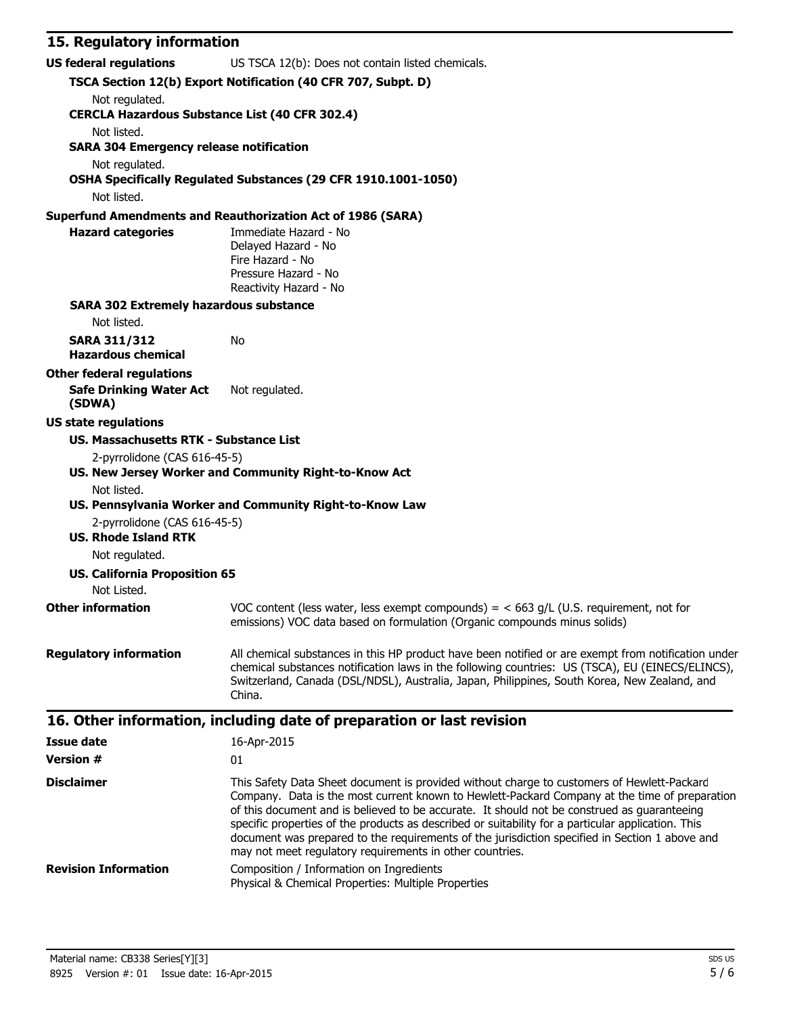### **15. Regulatory information**

| 15. Regulatory Information                            |                                                                                                                                                                       |  |  |  |
|-------------------------------------------------------|-----------------------------------------------------------------------------------------------------------------------------------------------------------------------|--|--|--|
| <b>US federal regulations</b>                         | US TSCA 12(b): Does not contain listed chemicals.                                                                                                                     |  |  |  |
|                                                       | TSCA Section 12(b) Export Notification (40 CFR 707, Subpt. D)                                                                                                         |  |  |  |
| Not regulated.                                        |                                                                                                                                                                       |  |  |  |
| <b>CERCLA Hazardous Substance List (40 CFR 302.4)</b> |                                                                                                                                                                       |  |  |  |
| Not listed.                                           |                                                                                                                                                                       |  |  |  |
| <b>SARA 304 Emergency release notification</b>        |                                                                                                                                                                       |  |  |  |
| Not regulated.                                        |                                                                                                                                                                       |  |  |  |
|                                                       | OSHA Specifically Regulated Substances (29 CFR 1910.1001-1050)                                                                                                        |  |  |  |
| Not listed.                                           |                                                                                                                                                                       |  |  |  |
| <b>Hazard categories</b>                              | <b>Superfund Amendments and Reauthorization Act of 1986 (SARA)</b><br>Immediate Hazard - No                                                                           |  |  |  |
|                                                       | Delayed Hazard - No                                                                                                                                                   |  |  |  |
|                                                       | Fire Hazard - No                                                                                                                                                      |  |  |  |
|                                                       | Pressure Hazard - No                                                                                                                                                  |  |  |  |
|                                                       | Reactivity Hazard - No                                                                                                                                                |  |  |  |
| <b>SARA 302 Extremely hazardous substance</b>         |                                                                                                                                                                       |  |  |  |
| Not listed.                                           |                                                                                                                                                                       |  |  |  |
| <b>SARA 311/312</b><br><b>Hazardous chemical</b>      | No                                                                                                                                                                    |  |  |  |
| <b>Other federal regulations</b>                      |                                                                                                                                                                       |  |  |  |
| <b>Safe Drinking Water Act</b>                        | Not regulated.                                                                                                                                                        |  |  |  |
| (SDWA)                                                |                                                                                                                                                                       |  |  |  |
| <b>US state regulations</b>                           |                                                                                                                                                                       |  |  |  |
| <b>US. Massachusetts RTK - Substance List</b>         |                                                                                                                                                                       |  |  |  |
| 2-pyrrolidone (CAS 616-45-5)                          |                                                                                                                                                                       |  |  |  |
|                                                       | US. New Jersey Worker and Community Right-to-Know Act                                                                                                                 |  |  |  |
| Not listed.                                           |                                                                                                                                                                       |  |  |  |
|                                                       | US. Pennsylvania Worker and Community Right-to-Know Law                                                                                                               |  |  |  |
| 2-pyrrolidone (CAS 616-45-5)                          |                                                                                                                                                                       |  |  |  |
| <b>US. Rhode Island RTK</b>                           |                                                                                                                                                                       |  |  |  |
| Not regulated.                                        |                                                                                                                                                                       |  |  |  |
| <b>US. California Proposition 65</b>                  |                                                                                                                                                                       |  |  |  |
| Not Listed.                                           |                                                                                                                                                                       |  |  |  |
| <b>Other information</b>                              | VOC content (less water, less exempt compounds) = $<$ 663 g/L (U.S. requirement, not for<br>emissions) VOC data based on formulation (Organic compounds minus solids) |  |  |  |
|                                                       |                                                                                                                                                                       |  |  |  |
| <b>Regulatory information</b>                         | All chemical substances in this HP product have been notified or are exempt from notification under                                                                   |  |  |  |
|                                                       | chemical substances notification laws in the following countries: US (TSCA), EU (EINECS/ELINCS),                                                                      |  |  |  |
|                                                       | Switzerland, Canada (DSL/NDSL), Australia, Japan, Philippines, South Korea, New Zealand, and                                                                          |  |  |  |
|                                                       | China.                                                                                                                                                                |  |  |  |
|                                                       | 16. Other information, including date of preparation or last revision                                                                                                 |  |  |  |
| <b>Issue date</b>                                     | 16-Apr-2015                                                                                                                                                           |  |  |  |
| <b>Version #</b>                                      | 01                                                                                                                                                                    |  |  |  |
| <b>Disclaimer</b>                                     | This Safety Data Sheet document is provided without charge to customers of Hewlett-Packard                                                                            |  |  |  |
|                                                       | Company. Data is the most current known to Hewlett-Packard Company at the time of preparation                                                                         |  |  |  |
|                                                       | of this document and is believed to be accurate. It should not be construed as guaranteeing                                                                           |  |  |  |
|                                                       | specific properties of the products as described or suitability for a particular application. This                                                                    |  |  |  |
|                                                       | document was prepared to the requirements of the jurisdiction specified in Section 1 above and<br>may not meet regulatory requirements in other countries.            |  |  |  |
| <b>Revision Information</b>                           | Composition / Information on Ingredients                                                                                                                              |  |  |  |
|                                                       | Physical & Chemical Properties: Multiple Properties                                                                                                                   |  |  |  |